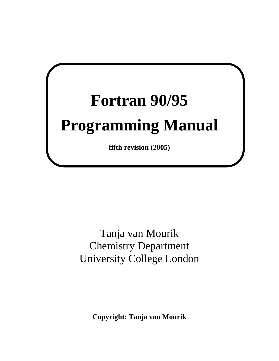# **Fortran 90/95**

## **Programming Manual**

**fifth revision (2005)** 

Tanja van Mourik Chemistry Department University College London

**Copyright: Tanja van Mourik**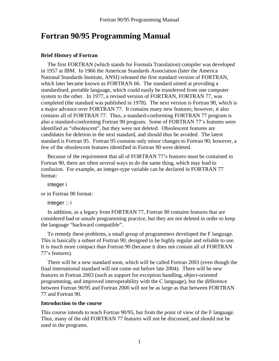## **Fortran 90/95 Programming Manual**

#### **Brief History of Fortran**

The first FORTRAN (which stands for Formula Translation) compiler was developed in 1957 at IBM. In 1966 the American Standards Association (later the America National Standards Institute, ANSI) released the first standard version of FORTRAN, which later became known as FORTRAN 66. The standard aimed at providing a standardised, portable language, which could easily be transferred from one computer system to the other. In 1977, a revised version of FORTRAN, FORTRAN 77, was completed (the standard was published in 1978). The next version is Fortran 90, which is a major advance over FORTRAN 77. It contains many new features; however, it also contains all of FORTRAN 77. Thus, a standard-conforming FORTRAN 77 program is also a standard-conforming Fortran 90 program. Some of FORTRAN 77's features were identified as "obsolescent", but they were not deleted. Obsolescent features are candidates for deletion in the next standard, and should thus be avoided. The latest standard is Fortran 95. Fortran 95 contains only minor changes to Fortran 90; however, a few of the obsolescent features identified in Fortran 90 were deleted.

Because of the requirement that all of FORTRAN 77's features must be contained in Fortran 90, there are often several ways to do the same thing, which may lead to confusion. For example, an integer-type variable can be declared in FORTRAN 77 format:

integer i

or in Fortran 90 format:

integer :: i

In addition, as a legacy from FORTRAN 77, Fortran 90 contains features that are considered bad or unsafe programming practice, but they are not deleted in order to keep the language "backward compatible".

To remedy these problems, a small group of programmers developed the F language. This is basically a subset of Fortran 90, designed to be highly regular and reliable to use. It is much more compact than Fortran 90 (because it does not contain all of FORTRAN 77's features).

There will be a new standard soon, which will be called Fortran 2003 (even though the final international standard will not come out before late 2004). There will be new features in Fortran 2003 (such as support for exception handling, object-oriented programming, and improved interoperability with the C language), but the difference between Fortran 90/95 and Fortran 2000 will not be as large as that between FORTRAN 77 and Fortran 90.

#### **Introduction to the course**

This course intends to teach Fortran 90/95, but from the point of view of the F language. Thus, many of the old FORTRAN 77 features will not be discussed, and should not be used in the programs.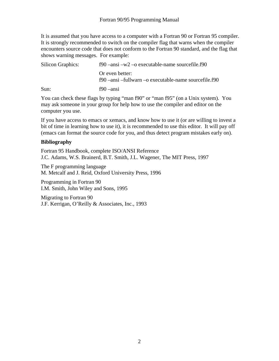It is assumed that you have access to a computer with a Fortran 90 or Fortran 95 compiler. It is strongly recommended to switch on the compiler flag that warns when the compiler encounters source code that does not conform to the Fortran 90 standard, and the flag that shows warning messages. For example:

| <b>Silicon Graphics:</b> | $f90$ –ansi –w2 –o executable-name sourcefile.f90                          |
|--------------------------|----------------------------------------------------------------------------|
|                          | Or even better:<br>$f90$ –ansi –fullwarn –o executable-name sourcefile.f90 |
| Sun:                     | $f90 - \text{ansi}$                                                        |

You can check these flags by typing "man f90" or "man f95" (on a Unix system). You may ask someone in your group for help how to use the compiler and editor on the computer you use.

If you have access to emacs or xemacs, and know how to use it (or are willing to invest a bit of time in learning how to use it), it is recommended to use this editor. It will pay off (emacs can format the source code for you, and thus detect program mistakes early on).

#### **Bibliography**

Fortran 95 Handbook, complete ISO/ANSI Reference J.C. Adams, W.S. Brainerd, B.T. Smith, J.L. Wagener, The MIT Press, 1997

The F programming language M. Metcalf and J. Reid, Oxford University Press, 1996

Programming in Fortran 90 I.M. Smith, John Wiley and Sons, 1995

Migrating to Fortran 90 J.F. Kerrigan, O'Reilly & Associates, Inc., 1993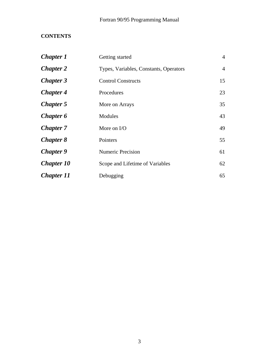### **CONTENTS**

| <b>Chapter 1</b>  | Getting started                        | $\overline{4}$ |
|-------------------|----------------------------------------|----------------|
| <b>Chapter 2</b>  | Types, Variables, Constants, Operators | $\overline{4}$ |
| <b>Chapter 3</b>  | <b>Control Constructs</b>              | 15             |
| <b>Chapter 4</b>  | Procedures                             | 23             |
| <b>Chapter 5</b>  | More on Arrays                         | 35             |
| <b>Chapter 6</b>  | Modules                                | 43             |
| <b>Chapter</b> 7  | More on I/O                            | 49             |
| <b>Chapter 8</b>  | Pointers                               | 55             |
| <b>Chapter 9</b>  | <b>Numeric Precision</b>               | 61             |
| <b>Chapter 10</b> | Scope and Lifetime of Variables        | 62             |
| <b>Chapter 11</b> | Debugging                              | 65             |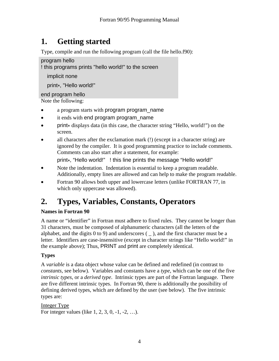## **1. Getting started**

Type, compile and run the following program (call the file hello.f90):

program hello ! this programs prints "hello world!" to the screen implicit none print\*, "Hello world!"

end program hello Note the following:

- a program starts with program program\_name
- it ends with end program program\_name
- print\* displays data (in this case, the character string "Hello, world!") on the screen.
- all characters after the exclamation mark (!) (except in a character string) are ignored by the compiler. It is good programming practice to include comments. Comments can also start after a statement, for example:

print\*, "Hello world!" ! this line prints the message "Hello world!"

- Note the indentation. Indentation is essential to keep a program readable. Additionally, empty lines are allowed and can help to make the program readable.
- Fortran 90 allows both upper and lowercase letters (unlike FORTRAN 77, in which only uppercase was allowed).

## **2. Types, Variables, Constants, Operators**

#### **Names in Fortran 90**

A name or "identifier" in Fortran must adhere to fixed rules. They cannot be longer than 31 characters, must be composed of alphanumeric characters (all the letters of the alphabet, and the digits  $(0 \text{ to } 9)$  and underscores  $($ ), and the first character must be a letter. Identifiers are case-insensitive (except in character strings like "Hello world!" in the example above); Thus, PRINT and print are completely identical.

#### **Types**

A *variable* is a data object whose value can be defined and redefined (in contrast to *constants*, see below). Variables and constants have a *type*, which can be one of the five *intrinsic types*, or a *derived type*. Intrinsic types are part of the Fortran language. There are five different intrinsic types. In Fortran 90, there is additionally the possibility of defining derived types, which are defined by the user (see below). The five intrinsic types are:

Integer Type For integer values (like 1, 2, 3, 0, -1, -2, …).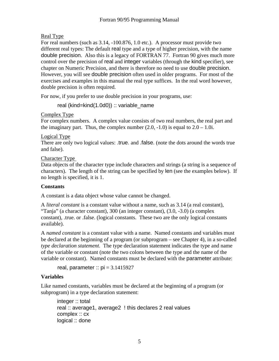#### Real Type

For real numbers (such as 3.14, -100.876, 1.0 etc.). A processor must provide two different real types: The default real type and a type of higher precision, with the name double precision. Also this is a legacy of FORTRAN 77. Fortran 90 gives much more control over the precision of real and integer variables (through the kind specifier), see chapter on Numeric Precision, and there is therefore no need to use double precision. However, you will see double precision often used in older programs. For most of the exercises and examples in this manual the real type suffices. In the real word however, double precision is often required.

For now, if you prefer to use double precision in your programs, use:

real (kind=kind(1.0d0)) :: variable\_name

Complex Type

For complex numbers. A complex value consists of two real numbers, the real part and the imaginary part. Thus, the complex number  $(2.0, -1.0)$  is equal to  $2.0 - 1.0$ i.

Logical Type

There are only two logical values: .true. and .false. (note the dots around the words true and false).

Character Type

Data objects of the character type include characters and strings (a string is a sequence of characters). The length of the string can be specified by len (see the examples below). If no length is specified, it is 1.

#### **Constants**

A constant is a data object whose value cannot be changed.

A *literal constant* is a constant value without a name, such as 3.14 (a real constant), "Tanja" (a character constant), 300 (an integer constant), (3.0, -3.0) (a complex constant), .true. or .false. (logical constants. These two are the only logical constants available).

A *named constant* is a constant value with a name. Named constants and variables must be declared at the beginning of a program (or subprogram – see Chapter 4), in a so-called *type declaration statement*. The type declaration statement indicates the type and name of the variable or constant (note the two colons between the type and the name of the variable or constant). Named constants must be declared with the parameter attribute:

real, parameter ::  $pi = 3.1415927$ 

#### **Variables**

Like named constants, variables must be declared at the beginning of a program (or subprogram) in a type declaration statement:

integer :: total real :: average1, average2 ! this declares 2 real values complex :: cx logical :: done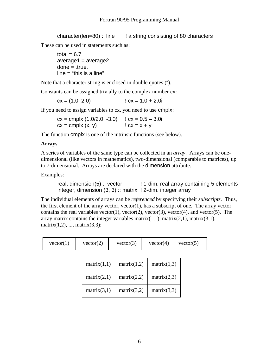character(len=80) :: line  $\qquad$  ! a string consisting of 80 characters

These can be used in statements such as:

```
total = 6.7average1 = average2done = .true.line = "this is a line"
```
Note that a character string is enclosed in double quotes (").

Constants can be assigned trivially to the complex number cx:

 $cx = (1.0, 2.0)$   $\qquad \qquad$   $cx = 1.0 + 2.0i$ 

If you need to assign variables to cx, you need to use cmplx:

 $cx = \text{cmplx} (1.0/2.0, -3.0)$   $cx = 0.5 - 3.0i$  $cx = \text{cmplx}(x, y)$   $\qquad \qquad$   $\qquad$   $\qquad$   $\qquad$   $\qquad$   $\qquad$   $\qquad$   $\qquad$   $\qquad$   $\qquad$   $\qquad$   $\qquad$   $\qquad$   $\qquad$   $\qquad$   $\qquad$   $\qquad$   $\qquad$   $\qquad$   $\qquad$   $\qquad$   $\qquad$   $\qquad$   $\qquad$   $\qquad$   $\qquad$   $\qquad$   $\qquad$   $\qquad$   $\qquad$   $\qquad$   $\qquad$   $\qquad$   $\qquad$ 

The function cmplx is one of the intrinsic functions (see below).

#### **Arrays**

A series of variables of the same type can be collected in an *array*. Arrays can be onedimensional (like vectors in mathematics), two-dimensional (comparable to matrices), up to 7-dimensional. Arrays are declared with the dimension attribute.

Examples:

real, dimension(5) :: vector ! 1-dim. real array containing 5 elements integer, dimension (3, 3) :: matrix ! 2-dim. integer array

The individual elements of arrays can be *referenced* by specifying their *subscripts*. Thus, the first element of the array vector, vector $(1)$ , has a subscript of one. The array vector contains the real variables vector(1), vector(2), vector(3), vector(4), and vector(5). The array matrix contains the integer variables matrix $(1,1)$ , matrix $(2,1)$ , matrix $(3,1)$ , matrix $(1,2)$ , ..., matrix $(3,3)$ :

| vector(1) | vector(2) | vector(3) | vector(4) | vector(5) |
|-----------|-----------|-----------|-----------|-----------|
|           |           |           |           |           |

| matrix(1,1) | matrix(1,2) | matrix(1,3) |
|-------------|-------------|-------------|
| matrix(2,1) | matrix(2,2) | matrix(2,3) |
| matrix(3,1) | matrix(3,2) | matrix(3,3) |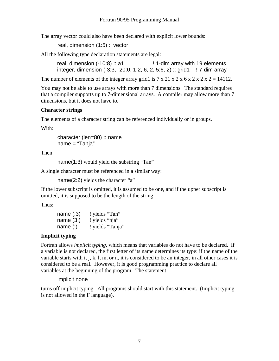The array vector could also have been declared with explicit lower bounds:

real, dimension (1:5) :: vector

All the following type declaration statements are legal:

 real, dimension (-10:8) :: a1 ! 1-dim array with 19 elements integer, dimension (-3:3, -20:0, 1:2, 6, 2, 5:6, 2) :: grid1 ! 7-dim array

The number of elements of the integer array grid1 is  $7 \times 21 \times 2 \times 6 \times 2 \times 2 \times 2 = 14112$ .

You may not be able to use arrays with more than 7 dimensions. The standard requires that a compiler supports up to 7-dimensional arrays. A compiler may allow more than 7 dimensions, but it does not have to.

#### **Character strings**

The elements of a character string can be referenced individually or in groups.

With:

 character (len=80) :: name name = "Tanja"

Then

name(1:3) would yield the substring "Tan"

A single character must be referenced in a similar way:

name(2:2) yields the character "a"

If the lower subscript is omitted, it is assumed to be one, and if the upper subscript is omitted, it is supposed to be the length of the string.

Thus:

| name $(.3)$ | ! yields "Tan"   |
|-------------|------------------|
| name $(3)$  | ! yields "nja"   |
| name $(:)$  | ! yields "Tanja" |

#### **Implicit typing**

Fortran allows *implicit typing*, which means that variables do not have to be declared. If a variable is not declared, the first letter of its name determines its type: if the name of the variable starts with i, j, k, l, m, or n, it is considered to be an integer, in all other cases it is considered to be a real. However, it is good programming practice to declare all variables at the beginning of the program. The statement

implicit none

turns off implicit typing. All programs should start with this statement. (Implicit typing is not allowed in the F language).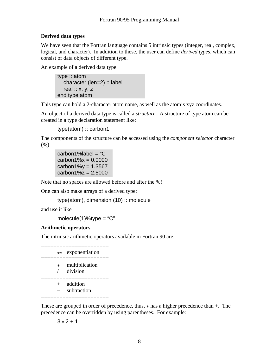#### **Derived data types**

We have seen that the Fortran language contains 5 intrinsic types (integer, real, complex, logical, and character). In addition to these, the user can define *derived types*, which can consist of data objects of different type.

An example of a derived data type:

type :: atom character (len=2) :: label real  $:: x, y, z$ end type atom

This type can hold a 2-character atom name, as well as the atom's xyz coordinates.

An object of a derived data type is called a *structure*. A structure of type atom can be created in a type declaration statement like:

type(atom) :: carbon1

The components of the structure can be accessed using the *component selector* character (%):

 $carbon1\%$ label = " $C$ "  $carbon1%x = 0.0000$  $carbon1\%v = 1.3567$  $carbon1\%z = 2.5000$ 

Note that no spaces are allowed before and after the %!

One can also make arrays of a derived type:

```
type(atom), dimension (10) :: molecule
```
and use it like

molecule $(1)$ %type = "C"

#### **Arithmetic operators**

The intrinsic arithmetic operators available in Fortran 90 are:

|        | ** exponentiation          |
|--------|----------------------------|
| $\ast$ | multiplication<br>division |
|        | addition<br>subtraction    |

These are grouped in order of precedence, thus,  $*$  has a higher precedence than  $+$ . The precedence can be overridden by using parentheses. For example:

#### $3 * 2 + 1$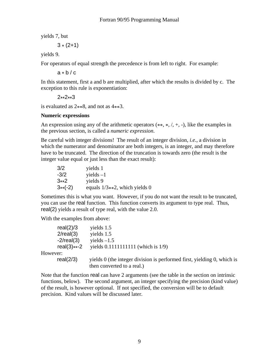yields 7, but

 $3*(2+1)$ 

yields 9.

For operators of equal strength the precedence is from left to right. For example:

 $a * b / c$ 

In this statement, first a and b are multiplied, after which the results is divided by c. The exception to this rule is exponentiation:

2\*\*2\*\*3

is evaluated as  $2**8$ , and not as  $4**3$ .

#### **Numeric expressions**

An expression using any of the arithmetic operators  $(**, *, /, +, -)$ , like the examples in the previous section, is called a *numeric expression*.

Be careful with integer divisions! The result of an integer division, *i.e.*, a division in which the numerator and denominator are both integers, is an integer, and may therefore have to be truncated. The direction of the truncation is towards zero (the result is the integer value equal or just less than the exact result):

| 3/2       | yields 1                         |
|-----------|----------------------------------|
| $-3/2$    | $yields -1$                      |
| $3**2$    | yields 9                         |
| $3**(-2)$ | equals $1/3**2$ , which yields 0 |

Sometimes this is what you want. However, if you do not want the result to be truncated, you can use the real function. This function converts its argument to type real. Thus, real(2) yields a result of type real, with the value 2.0.

With the examples from above:

|          | real(2)/3       | yields 1.5                                                                             |
|----------|-----------------|----------------------------------------------------------------------------------------|
|          | $2$ /real $(3)$ | yields 1.5                                                                             |
|          | $-2$ /real(3)   | yields $-1.5$                                                                          |
|          | $real(3)$ **-2  | yields $0.1111111111$ (which is $1/9$ )                                                |
| However: |                 |                                                                                        |
|          | real(2/3)       | yields $\theta$ (the integer division is performed first, yielding $\theta$ , which is |
|          |                 | then converted to a real.)                                                             |

Note that the function real can have 2 arguments (see the table in the section on intrinsic functions, below). The second argument, an integer specifying the precision (kind value) of the result, is however optional. If not specified, the conversion will be to default precision. Kind values will be discussed later.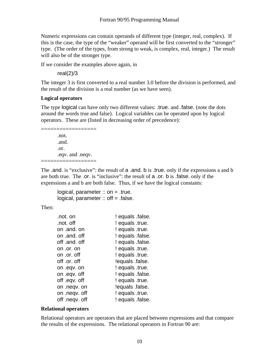Numeric expressions can contain operands of different type (integer, real, complex). If this is the case, the type of the "weaker" operand will be first converted to the "stronger" type. (The order of the types, from strong to weak, is complex, real, integer.) The result will also be of the stronger type.

If we consider the examples above again, in

real(2)/3

The integer 3 is first converted to a real number 3.0 before the division is performed, and the result of the division is a real number (as we have seen).

#### **Logical operators**

The type logical can have only two different values: .true. and .false. (note the dots around the words true and false). Logical variables can be operated upon by logical operators. These are (listed in decreasing order of precedence):

=============== .not. .and. .or. .eqv. and .neqv. =================

The .and. is "exclusive": the result of a .and. b is .true. only if the expressions a and b are both true. The .or. is "inclusive": the result of a .or. b is .false. only if the expressions a and b are both false. Thus, if we have the logical constants:

```
logical, parameter \therefore on = .true.
logical, parameter \therefore off = .false.
```
Then:

| .not. on       | ! equals .false. |
|----------------|------------------|
| .not. off      | ! equals .true.  |
| on .and. on    | ! equals .true.  |
| on .and. off   | ! equals .false. |
| off .and. off  | ! equals .false. |
| on .or. on     | ! equals .true.  |
| on .or. off    | ! equals .true.  |
| off .or. off   | lequals .false.  |
| on .eqv. on    | ! equals .true.  |
| on .eqv. off   | ! equals .false. |
| off .eqv. off  | ! equals .true.  |
| on .neqv. on   | lequals .false.  |
| on .neqv. off  | ! equals .true.  |
| off .neqv. off | ! equals .false. |

#### **Relational operators**

Relational operators are operators that are placed between expressions and that compare the results of the expressions. The relational operators in Fortran 90 are: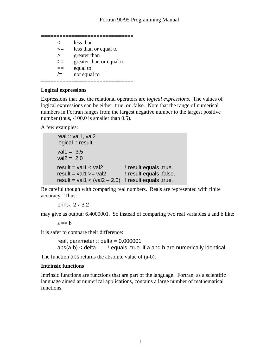============================== < less than <= less than or equal to > greater than >= greater than or equal to  $==$  equal to  $\ell$  not equal to ==============================

#### **Logical expressions**

Expressions that use the relational operators are *logical expressions*. The values of logical expressions can be either .true. or .false. Note that the range of numerical numbers in Fortran ranges from the largest negative number to the largest positive number (thus,  $-100.0$  is smaller than 0.5).

A few examples:

real :: val1, val2 logical :: result  $val1 = -3.5$  $val2 = 2.0$  $result = val1 < val2$  ! result equals .true. result =  $val1$  >=  $val2$  ! result equals .false. result = val1 <  $($ val2 - 2.0) ! result equals .true.

Be careful though with comparing real numbers. Reals are represented with finite accuracy. Thus:

print\*, 2 \* 3.2

may give as output: 6.4000001. So instead of comparing two real variables a and b like:

 $a == b$ 

it is safer to compare their difference:

```
real, parameter \therefore delta = 0.000001
abs(a-b) < delta ! equals true. if a and b are numerically identical
```
The function abs returns the absolute value of (a-b).

#### **Intrinsic functions**

Intrinsic functions are functions that are part of the language. Fortran, as a scientific language aimed at numerical applications, contains a large number of mathematical functions.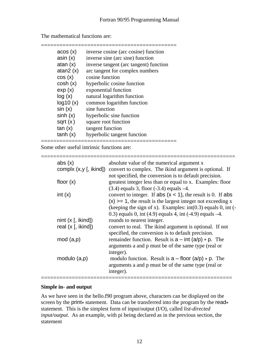| acos (x)    | inverse cosine (arc cosine) function   |
|-------------|----------------------------------------|
| asin(x)     | inverse sine (arc sine) function       |
| atan $(x)$  | inverse tangent (arc tangent) function |
| atan $2(x)$ | arc tangent for complex numbers        |
| cos(x)      | cosine function                        |
| cosh(x)     | hyperbolic cosine function             |
| exp(x)      | exponential function                   |
| log(x)      | natural logarithm function             |
| log10(x)    | common logarithm function              |
| sin(x)      | sine function                          |
| sinh(x)     | hyperbolic sine function               |
| sqrt $(x)$  | square root function                   |
| tan(x)      | tangent function                       |
| tanh(x)     | hyperbolic tangent function            |

============================================

The mathematical functions are:

Some other useful intrinsic functions are:

| abs $(x)$                | absolute value of the numerical argument x                                                                                                                                                                                                                          |
|--------------------------|---------------------------------------------------------------------------------------------------------------------------------------------------------------------------------------------------------------------------------------------------------------------|
| complx $(x,y$ [, ikind]) | convert to complex. The ikind argument is optional. If<br>not specified, the conversion is to default precision.                                                                                                                                                    |
| floor $(x)$              | greatest integer less than or equal to x. Examples: floor<br>$(3.4)$ equals 3, floor $(-3.4)$ equals $-4$ .                                                                                                                                                         |
| int $(x)$                | convert to integer. If abs $(x < 1)$ , the result is 0. If abs<br>$(x)$ >= 1, the result is the largest integer not exceeding x<br>(keeping the sign of x). Examples: $int(0.3)$ equals 0, $int(-$<br>0.3) equals 0, int (4.9) equals 4, int $(-4.9)$ equals $-4$ . |
| nint $(x \mid$ , ikind]) | rounds to nearest integer.                                                                                                                                                                                                                                          |
| real $(x \mid$ , ikind]) | convert to real. The ikind argument is optional. If not<br>specified, the conversion is to default precision.                                                                                                                                                       |
| mod(a,p)                 | remainder function. Result is $a - int (a/p) * p$ . The<br>arguments a and p must be of the same type (real or<br>integer).                                                                                                                                         |
| modulo $(a,p)$           | modulo function. Result is $a - f$ loor $(a/p) * p$ . The<br>arguments a and p must be of the same type (real or<br>integer).                                                                                                                                       |
|                          |                                                                                                                                                                                                                                                                     |

#### **Simple in- and output**

As we have seen in the hello.f90 program above, characters can be displayed on the screen by the print<sup>\*</sup> statement. Data can be transferred into the program by the read<sup>\*</sup> statement. This is the simplest form of input/output (I/O), called *list-directed input/output*. As an example, with pi being declared as in the previous section, the statement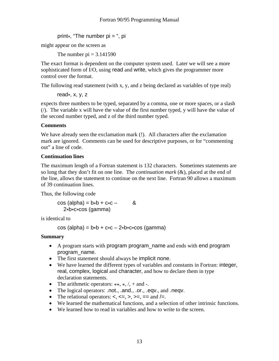print\*, "The number  $pi =$ ", pi

might appear on the screen as

The number  $pi = 3.141590$ 

The exact format is dependent on the computer system used. Later we will see a more sophisticated form of I/O, using read and write, which gives the programmer more control over the format.

The following read statement (with x, y, and z being declared as variables of type real)

read\*, x, y, z

expects three numbers to be typed, separated by a comma, one or more spaces, or a slash (/). The variable x will have the value of the first number typed, y will have the value of the second number typed, and z of the third number typed.

#### **Comments**

We have already seen the exclamation mark (!). All characters after the exclamation mark are ignored. Comments can be used for descriptive purposes, or for "commenting out" a line of code.

#### **Continuation lines**

The maximum length of a Fortran statement is 132 characters. Sometimes statements are so long that they don't fit on one line. The *continuation mark* (&), placed at the end of the line, allows the statement to continue on the next line. Fortran 90 allows a maximum of 39 continuation lines.

Thus, the following code

 $cos (alpha) = b*b + c*c - 8$ 2\*b\*c\*cos (gamma)

is identical to

cos (alpha) =  $b*b + c*c - 2*b*c*cos$  (gamma)

#### **Summary**

- A program starts with program program\_name and ends with end program program\_name.
- The first statement should always be implicit none.
- We have learned the different types of variables and constants in Fortran: integer, real, complex, logical and character, and how to declare them in type declaration statements.
- The arithmetic operators:  $**$ ,  $*$ ,  $/$ ,  $+$  and  $-$ .
- The logical operators: .not., .and., .or., .eqv., and .neqv.
- The relational operators:  $\lt$ ,  $\lt$  =,  $\gt$ ,  $\gt$  =,  $\gt$  = and  $\lt$ .
- We learned the mathematical functions, and a selection of other intrinsic functions.
- We learned how to read in variables and how to write to the screen.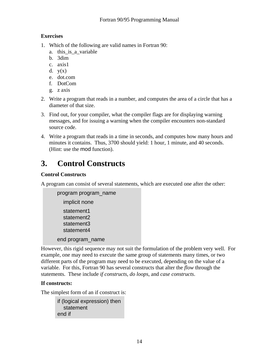#### **Exercises**

- 1. Which of the following are valid names in Fortran 90:
	- a. this is a variable
	- b. 3dim
	- c. axis1
	- d.  $y(x)$
	- e. dot.com
	- f. DotCom
	- g. z axis
- 2. Write a program that reads in a number, and computes the area of a circle that has a diameter of that size.
- 3. Find out, for your compiler, what the compiler flags are for displaying warning messages, and for issuing a warning when the compiler encounters non-standard source code.
- 4. Write a program that reads in a time in seconds, and computes how many hours and minutes it contains. Thus, 3700 should yield: 1 hour, 1 minute, and 40 seconds. (Hint: use the mod function).

## **3. Control Constructs**

#### **Control Constructs**

A program can consist of several statements, which are executed one after the other:

```
program program_name 
   implicit none 
   statement1 
   statement2 
   statement3 
   statement4 
 end program_name
```
However, this rigid sequence may not suit the formulation of the problem very well. For example, one may need to execute the same group of statements many times, or two different parts of the program may need to be executed, depending on the value of a variable. For this, Fortran 90 has several constructs that alter the *flow* through the statements. These include *if constructs*, *do loops*, and *case constructs*.

#### **If constructs:**

The simplest form of an if construct is:

if (logical expression) then statement end if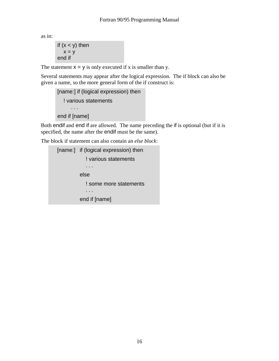as in:

```
if (x < y) then
  x = y end if
```
The statement  $x = y$  is only executed if x is smaller than y.

Several statements may appear after the logical expression. The if block can also be given a name, so the more general form of the if construct is:

```
 [name:] if (logical expression) then 
    ! various statements 
       . . . 
 end if [name]
```
Both endif and end if are allowed. The name preceding the if is optional (but if it is specified, the name after the endif must be the same).

The block if statement can also contain an *else block*:

```
[name:] if (logical expression) then
             ! various statements 
              ... 
           else 
              ! some more statements 
              ... 
           end if [name]
```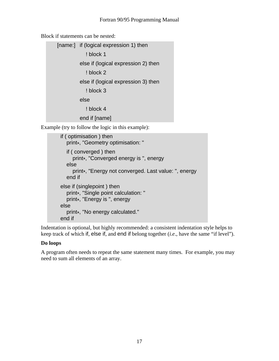Block if statements can be nested:

[name:] if (logical expression 1) then ! block 1 else if (logical expression 2) then ! block 2 else if (logical expression 3) then ! block 3 else ! block 4 end if [name]

Example (try to follow the logic in this example):

```
 if ( optimisation ) then 
   print*, "Geometry optimisation: " 
   if ( converged ) then 
      print*, "Converged energy is ", energy 
   else 
      print*, "Energy not converged. Last value: ", energy 
   end if 
 else if (singlepoint ) then 
   print*, "Single point calculation: " 
   print*, "Energy is ", energy 
 else 
   print*, "No energy calculated." 
 end if
```
Indentation is optional, but highly recommended: a consistent indentation style helps to keep track of which if, else if, and end if belong together (*i.e*., have the same "if level").

#### **Do loops**

A program often needs to repeat the same statement many times. For example, you may need to sum all elements of an array.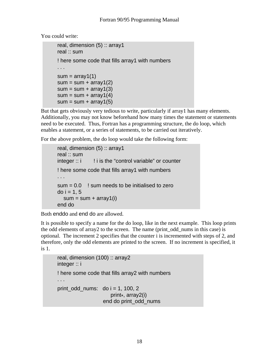You could write:

```
 real, dimension (5) :: array1 
 real :: sum 
 ! here some code that fills array1 with numbers 
 ... 
sum = array1(1)sum = sum + array1(2)sum = sum + array1(3)sum = sum + array1(4)sum = sum + array1(5)
```
But that gets obviously very tedious to write, particularly if array1 has many elements. Additionally, you may not know beforehand how many times the statement or statements need to be executed. Thus, Fortran has a programming structure, the do loop, which enables a statement, or a series of statements, to be carried out iteratively.

For the above problem, the do loop would take the following form:

```
real, dimension (5): array1
 real :: sum 
integer :: i ! i is the "control variable" or counter
 ! here some code that fills array1 with numbers 
 ... 
sum = 0.0 ! sum needs to be initialised to zero
do i = 1, 5sum = sum + array1(i) end do
```
Both enddo and end do are allowed.

It is possible to specify a name for the do loop, like in the next example. This loop prints the odd elements of array2 to the screen. The name (print\_odd\_nums in this case) is optional. The increment 2 specifies that the counter i is incremented with steps of 2, and therefore, only the odd elements are printed to the screen. If no increment is specified, it is 1.

```
real, dimension (100) :: array2
 integer :: i 
 ! here some code that fills array2 with numbers 
 ... 
print_odd_nums: \text{do } i = 1, 100, 2 print*, array2(i) 
                     end do print_odd_nums
```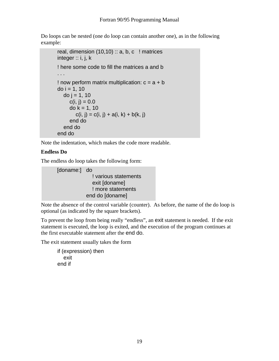Do loops can be nested (one do loop can contain another one), as in the following example:

```
real, dimension (10,10) :: a, b, c ! matrices
integer :: i, j, k ! here some code to fill the matrices a and b 
 ... 
! now perform matrix multiplication: c = a + bdo i = 1, 10do j = 1, 10c(i, i) = 0.0do k = 1, 10c(i, j) = c(i, j) + a(i, k) + b(k, j) end do 
   end do 
 end do
```
Note the indentation, which makes the code more readable.

#### **Endless Do**

The endless do loop takes the following form:

 [doname:] do ! various statements exit [doname] ! more statements end do [doname]

Note the absence of the control variable (counter). As before, the name of the do loop is optional (as indicated by the square brackets).

To prevent the loop from being really "endless", an exit statement is needed. If the exit statement is executed, the loop is exited, and the execution of the program continues at the first executable statement after the end do.

The exit statement usually takes the form

```
if (expression) then 
    exit 
end if
```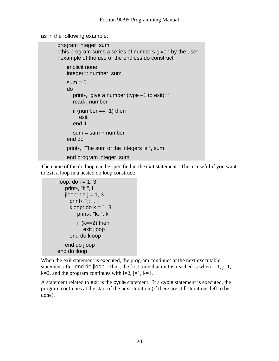as in the following example:

```
program integer_sum 
 ! this program sums a series of numbers given by the user 
 ! example of the use of the endless do construct 
     implicit none 
     integer :: number, sum 
   sum = 0do 
       print*, "give a number (type –1 to exit): " 
       read*, number 
      if (number == -1) then
          exit 
       end if 
      sum = sum + number end do 
     print*, "The sum of the integers is ", sum 
     end program integer_sum
```
The name of the do loop can be specified in the exit statement. This is useful if you want to exit a loop in a nested do loop construct:

```
iloop: do i = 1, 3
    print*, "i: ", i 
   jloop: do j = 1, 3 print*, "j: ", j 
      kloop: do k = 1, 3 print*, "k: ", k 
         if (k==2) then
             exit jloop 
       end do kloop 
    end do jloop 
 end do iloop
```
When the exit statement is executed, the program continues at the next executable statement after end do jloop. Thus, the first time that exit is reached is when  $i=1$ ,  $j=1$ ,  $k=2$ , and the program continues with  $i=2$ ,  $j=1$ ,  $k=1$ .

A statement related to exit is the cycle statement. If a cycle statement is executed, the program continues at the start of the next iteration (if there are still iterations left to be done).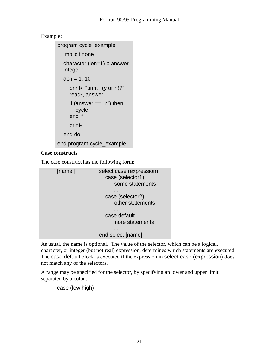#### Example:

```
program cycle_example 
    implicit none 
    character (len=1) :: answer 
    integer :: i 
   do i = 1, 10 print*, "print i (y or n)?" 
      read*, answer 
     if (answer == "n") then
         cycle 
      end if 
      print*, i 
    end do 
 end program cycle_example
```
#### **Case constructs**

The case construct has the following form:

```
[name:] select case (expression)
                   case (selector1) 
                     ! some statements 
 ... 
                   case (selector2) 
                     ! other statements 
 ... 
                   case default 
                    ! more statements 
 ... 
                 end select [name]
```
As usual, the name is optional. The value of the selector, which can be a logical, character, or integer (but not real) expression, determines which statements are executed. The case default block is executed if the expression in select case (expression) does not match any of the selectors.

A range may be specified for the selector, by specifying an lower and upper limit separated by a colon:

case (low:high)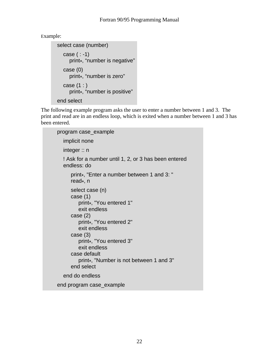Example:

```
select case (number) 
  case ( : -1) print*, "number is negative" 
   case (0) 
      print*, "number is zero" 
  case (1:) print*, "number is positive" 
 end select
```
The following example program asks the user to enter a number between 1 and 3. The print and read are in an endless loop, which is exited when a number between 1 and 3 has been entered.

```
 program case_example 
   implicit none 
   integer :: n 
   ! Ask for a number until 1, 2, or 3 has been entered 
   endless: do 
       print*, "Enter a number between 1 and 3: " 
       read*, n 
       select case (n) 
       case (1) 
          print*, "You entered 1" 
          exit endless 
       case (2) 
          print*, "You entered 2" 
          exit endless 
       case (3) 
          print*, "You entered 3" 
          exit endless 
       case default 
          print*, "Number is not between 1 and 3" 
       end select 
   end do endless 
 end program case_example
```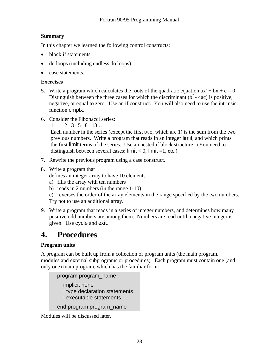#### **Summary**

In this chapter we learned the following control constructs:

- block if statements.
- do loops (including endless do loops).
- case statements.

#### **Exercises**

- 5. Write a program which calculates the roots of the quadratic equation  $ax^2 + bx + c = 0$ . Distinguish between the three cases for which the discriminant  $(b^2 - 4ac)$  is positive, negative, or equal to zero. Use an if construct. You will also need to use the intrinsic function cmplx.
- 6. Consider the Fibonacci series:

 1 1 2 3 5 8 13 … Each number in the series (except the first two, which are 1) is the sum from the two previous numbers. Write a program that reads in an integer limit, and which prints the first limit terms of the series. Use an nested if block structure. (You need to distinguish between several cases: limit  $< 0$ , limit  $= 1$ , etc.)

- 7. Rewrite the previous program using a case construct.
- 8. Write a program that

defines an integer array to have 10 elements

- a) fills the array with ten numbers
- b) reads in 2 numbers (in the range 1-10)

c) reverses the order of the array elements in the range specified by the two numbers. Try not to use an additional array.

9. Write a program that reads in a series of integer numbers, and determines how many positive odd numbers are among them. Numbers are read until a negative integer is given. Use cycle and exit.

## **4. Procedures**

#### **Program units**

A program can be built up from a collection of program units (the main program, modules and external subprograms or procedures). Each program must contain one (and only one) main program, which has the familiar form:

```
 program program_name 
   implicit none 
   ! type declaration statements 
   ! executable statements 
 end program program_name
```
Modules will be discussed later.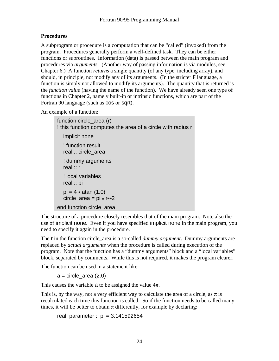#### **Procedures**

A subprogram or procedure is a computation that can be "called" (invoked) from the program. Procedures generally perform a well-defined task. They can be either functions or subroutines. Information (data) is passed between the main program and procedures via *arguments*. (Another way of passing information is via modules, see Chapter 6.) A function *returns* a single quantity (of any type, including array), and should, in principle, not modify any of its arguments. (In the stricter F language, a function is simply not allowed to modify its arguments). The quantity that is returned is the *function value* (having the name of the function). We have already seen one type of functions in Chapter 2, namely built-in or intrinsic functions, which are part of the Fortran 90 language (such as cos or sqrt).

An example of a function:

```
function circle area (r)
 ! this function computes the area of a circle with radius r 
    implicit none 
    ! function result 
    real :: circle_area 
    ! dummy arguments 
    real :: r 
   ! local variables 
    real :: pi 
   pi = 4 * \text{atan} (1.0)circle_area = pi * r * 2 end function circle_area
```
The structure of a procedure closely resembles that of the main program. Note also the use of implicit none. Even if you have specified implicit none in the main program, you need to specify it again in the procedure.

The r in the function circle\_area is a so-called *dummy argument*. Dummy arguments are replaced by *actual arguments* when the procedure is called during execution of the program. Note that the function has a "dummy arguments" block and a "local variables" block, separated by comments. While this is not required, it makes the program clearer.

The function can be used in a statement like:

 $a =$  circle\_area  $(2.0)$ 

This causes the variable a to be assigned the value  $4\pi$ .

This is, by the way, not a very efficient way to calculate the area of a circle, as  $\pi$  is recalculated each time this function is called. So if the function needs to be called many times, it will be better to obtain  $\pi$  differently, for example by declaring:

real, parameter ::  $pi = 3.141592654$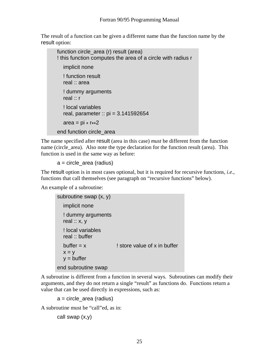The result of a function can be given a different name than the function name by the result option:

function circle area (r) result (area) ! this function computes the area of a circle with radius r implicit none ! function result real :: area ! dummy arguments real :: r ! local variables real, parameter :: pi = 3.141592654 area =  $pi * r * 2$ end function circle\_area

The name specified after result (area in this case) *must* be different from the function name (circle\_area). Also note the type declaration for the function result (area). This function is used in the same way as before:

a = circle\_area (radius)

The result option is in most cases optional, but it is required for recursive functions, *i.e.*, functions that call themselves (see paragraph on "recursive functions" below).

An example of a subroutine:

```
 subroutine swap (x, y) 
   implicit none 
   ! dummy arguments 
  real :: x, y ! local variables 
   real :: buffer 
  buffer = x ! store value of x in buffer
  x = yy =buffer
 end subroutine swap
```
A subroutine is different from a function in several ways. Subroutines can modify their arguments, and they do not return a single "result" as functions do. Functions return a value that can be used directly in expressions, such as:

 $a =$  circle  $area$  (radius)

A subroutine must be "call"ed, as in:

call swap (x,y)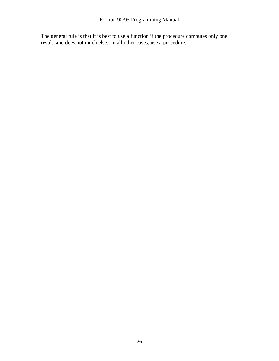The general rule is that it is best to use a function if the procedure computes only one result, and does not much else. In all other cases, use a procedure.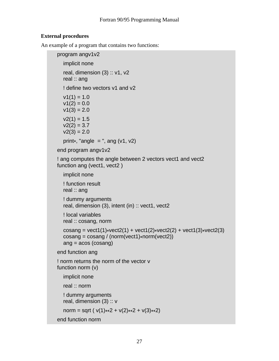#### **External procedures**

An example of a program that contains two functions:

```
 program angv1v2 
   implicit none 
  real, dimension (3) :: v1, v2 real :: ang 
   ! define two vectors v1 and v2 
  v1(1) = 1.0v1(2) = 0.0v1(3) = 2.0v2(1) = 1.5v2(2) = 3.7v2(3) = 2.0print*, "angle = ", ang (v1, v2) end program angv1v2 
! ang computes the angle between 2 vectors vect1 and vect2
function ang (vect1, vect2)
   implicit none 
   ! function result 
   real :: ang 
   ! dummy arguments 
   real, dimension (3), intent (in) :: vect1, vect2 
   ! local variables 
   real :: cosang, norm 
  cosang = vect1(1)*vect2(1) + vect1(2)*vect2(2) + vect1(3)*vect2(3)
  cosang = cosang / (norm(vect1) * norm(vect2)) ang = acos (cosang) 
 end function ang 
 ! norm returns the norm of the vector v 
 function norm (v) 
   implicit none 
   real :: norm 
   ! dummy arguments 
  real, dimension (3) :: v
  norm = sqrt (v(1)**2 + v(2)**2 + v(3)**2)
 end function norm
```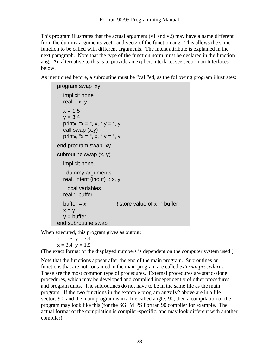This program illustrates that the actual argument (v1 and v2) may have a name different from the dummy arguments vect1 and vect2 of the function ang. This allows the same function to be called with different arguments. The intent attribute is explained in the next paragraph. Note that the type of the function norm must be declared in the function ang. An alternative to this is to provide an explicit interface, see section on Interfaces below.

As mentioned before, a subroutine must be "call"ed, as the following program illustrates:

```
program swap_xy 
   implicit none 
  real :: x, yx = 1.5y = 3.4print*, "x =", x, "y =", y call swap (x,y) 
  print*, "x =", x, "y =", y
 end program swap_xy 
 subroutine swap (x, y) 
   implicit none 
   ! dummy arguments 
   real, intent (inout) :: x, y 
   ! local variables 
   real :: buffer 
  buffer = x ! store value of x in buffer
  x = yy =buffer
 end subroutine swap
```
When executed, this program gives as output:

 $x = 1.5$   $y = 3.4$  $x = 3.4$   $y = 1.5$ 

(The exact format of the displayed numbers is dependent on the computer system used.)

Note that the functions appear after the end of the main program. Subroutines or functions that are not contained in the main program are called *external procedures*. These are the most common type of procedures. External procedures are stand-alone procedures, which may be developed and compiled independently of other procedures and program units. The subroutines do not have to be in the same file as the main program. If the two functions in the example program angy  $1\sqrt{2}$  above are in a file vector.f90, and the main program is in a file called angle.f90, then a compilation of the program may look like this (for the SGI MIPS Fortran 90 compiler for example. The actual format of the compilation is compiler-specific, and may look different with another compiler):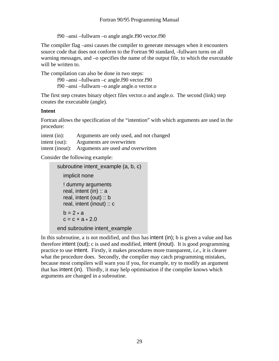f90 –ansi –fullwarn –o angle angle.f90 vector.f90

The compiler flag –ansi causes the compiler to generate messages when it encounters source code that does not conform to the Fortran 90 standard, -fullwarn turns on all warning messages, and –o specifies the name of the output file, to which the executable will be written to.

The compilation can also be done in two steps:

 f90 –ansi –fullwarn –c angle.f90 vector.f90 f90 –ansi –fullwarn –o angle angle.o vector.o

The first step creates binary object files vector.o and angle.o. The second (link) step creates the executable (angle).

#### **Intent**

Fortran allows the specification of the "intention" with which arguments are used in the procedure:

| intent (in):  | Arguments are only used, and not changed                  |
|---------------|-----------------------------------------------------------|
| intent (out): | Arguments are overwritten                                 |
|               | intent (inout): Arguments are used <i>and</i> overwritten |

Consider the following example:

```
subroutine intent example (a, b, c)
    implicit none 
    ! dummy arguments 
   real, intent (in) \therefore a
    real, intent (out) :: b 
    real, intent (inout) :: c 
   b = 2 \cdot ac = c + a \cdot 2.0 end subroutine intent_example
```
In this subroutine, a is not modified, and thus has intent (in); b is given a value and has therefore intent (out); c is used and modified, intent (inout). It is good programming practice to use intent. Firstly, it makes procedures more transparent, *i.e*., it is clearer what the procedure does. Secondly, the compiler may catch programming mistakes, because most compilers will warn you if you, for example, try to modify an argument that has intent (in). Thirdly, it may help optimisation if the compiler knows which arguments are changed in a subroutine.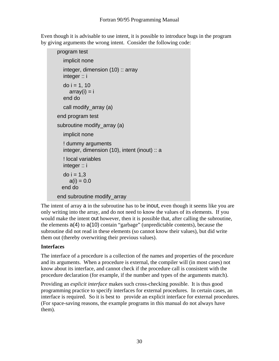Even though it is advisable to use intent, it is possible to introduce bugs in the program by giving arguments the wrong intent. Consider the following code:

```
program test 
    implicit none 
    integer, dimension (10) :: array 
    integer :: i 
   do i = 1, 10array(i) = i end do 
    call modify_array (a) 
 end program test 
 subroutine modify_array (a) 
    implicit none 
    ! dummy arguments 
    integer, dimension (10), intent (inout) :: a 
    ! local variables 
    integer :: i 
  do i = 1,3a(i) = 0.0 end do 
 end subroutine modify_array
```
The intent of array a in the subroutine has to be inout, even though it seems like you are only writing into the array, and do not need to know the values of its elements. If you would make the intent out however, then it is possible that, after calling the subroutine, the elements a(4) to a(10) contain "garbage" (unpredictable contents), because the subroutine did not read in these elements (so cannot know their values), but did write them out (thereby overwriting their previous values).

#### **Interfaces**

The interface of a procedure is a collection of the names and properties of the procedure and its arguments. When a procedure is external, the compiler will (in most cases) not know about its interface, and cannot check if the procedure call is consistent with the procedure declaration (for example, if the number and types of the arguments match).

Providing an *explicit interface* makes such cross-checking possible. It is thus good programming practice to specify interfaces for external procedures. In certain cases, an interface is required. So it is best to provide an explicit interface for external procedures. (For space-saving reasons, the example programs in this manual do not always have them).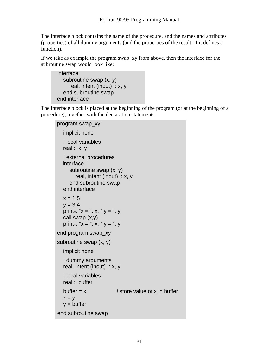The interface block contains the name of the procedure, and the names and attributes (properties) of all dummy arguments (and the properties of the result, if it defines a function).

If we take as example the program swap\_xy from above, then the interface for the subroutine swap would look like:

```
interface 
   subroutine swap (x, y) 
      real, intent (inout) :: x, y 
    end subroutine swap 
 end interface
```
The interface block is placed at the beginning of the program (or at the beginning of a procedure), together with the declaration statements:

```
program swap_xy 
   implicit none 
   ! local variables 
  real :: x, y ! external procedures 
   interface 
      subroutine swap (x, y) 
         real, intent (inout) :: x, y 
      end subroutine swap 
   end interface 
  x = 1.5y = 3.4print*, "x =", x, "y =", y
   call swap (x,y) 
  print*, "x =", x, "y =", y end program swap_xy 
 subroutine swap (x, y) 
   implicit none 
   ! dummy arguments 
   real, intent (inout) :: x, y 
   ! local variables 
   real :: buffer 
  buffer = x ! store value of x in buffer
  x = yy =buffer
 end subroutine swap
```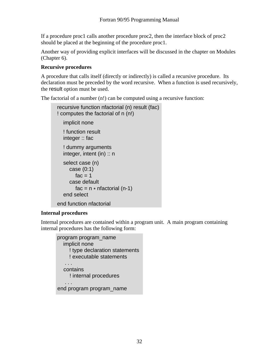If a procedure proc1 calls another procedure proc2, then the interface block of proc2 should be placed at the beginning of the procedure proc1.

Another way of providing explicit interfaces will be discussed in the chapter on Modules (Chapter 6).

#### **Recursive procedures**

A procedure that calls itself (directly or indirectly) is called a recursive procedure. Its declaration must be preceded by the word recursive. When a function is used recursively, the result option must be used.

The factorial of a number (n!) can be computed using a recursive function:

```
recursive function nfactorial (n) result (fac) 
 ! computes the factorial of n (n!) 
    implicit none 
   ! function result 
   integer :: fac 
   ! dummy arguments 
    integer, intent (in) :: n 
   select case (n) 
      case (0:1) 
        fac = 1 case default 
        fac = n * nfactorial (n-1)
    end select 
 end function nfactorial
```
#### **Internal procedures**

Internal procedures are contained within a program unit. A main program containing internal procedures has the following form:

```
program program_name 
         implicit none 
           ! type declaration statements 
           ! executable statements 
 ... 
         contains 
           ! internal procedures 
 ... 
       end program program_name
```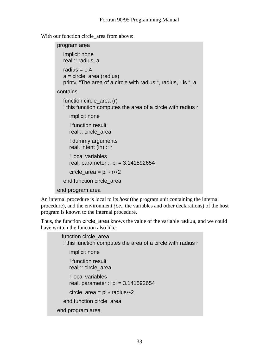With our function circle area from above:

```
program area 
   implicit none 
   real :: radius, a 
  radius = 1.4a = circle area (radius)
    print*, "The area of a circle with radius ", radius, " is ", a 
 contains 
  function circle area (r)
    ! this function computes the area of a circle with radius r 
      implicit none 
      ! function result 
      real :: circle_area 
      ! dummy arguments 
     real, intent (in) :: r
      ! local variables 
      real, parameter :: pi = 3.141592654 
     circle area = pi * r**2 end function circle_area 
 end program area
```
An internal procedure is local to its *host* (the program unit containing the internal procedure), and the environment *(i.e*., the variables and other declarations) of the host program is known to the internal procedure.

Thus, the function circle area knows the value of the variable radius, and we could have written the function also like:

```
 function circle_area 
   ! this function computes the area of a circle with radius r 
      implicit none 
      ! function result 
      real :: circle_area 
      ! local variables 
      real, parameter :: pi = 3.141592654 
     circle area = pi * radius**2 end function circle_area 
 end program area
```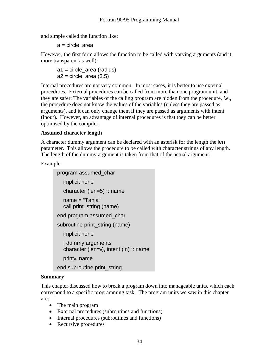and simple called the function like:

```
 a = circle_area
```
However, the first form allows the function to be called with varying arguments (and it more transparent as well):

 a1 = circle\_area (radius)  $a2$  = circle area (3.5)

Internal procedures are not very common. In most cases, it is better to use external procedures. External procedures can be called from more than one program unit, and they are safer: The variables of the calling program are hidden from the procedure, *i.e.*, the procedure does not know the values of the variables (unless they are passed as arguments), and it can only change them if they are passed as arguments with intent (inout). However, an advantage of internal procedures is that they can be better optimised by the compiler.

#### **Assumed character length**

A character dummy argument can be declared with an asterisk for the length the len parameter. This allows the procedure to be called with character strings of any length. The length of the dummy argument is taken from that of the actual argument.

Example:

```
program assumed_char 
   implicit none 
   character (len=5) :: name 
   name = "Tanja" 
   call print_string (name) 
 end program assumed_char 
 subroutine print_string (name) 
   implicit none 
   ! dummy arguments 
  character (len=\ast), intent (in) :: name
   print*, name 
 end subroutine print_string
```
#### **Summary**

This chapter discussed how to break a program down into manageable units, which each correspond to a specific programming task. The program units we saw in this chapter are:

- The main program
- External procedures (subroutines and functions)
- Internal procedures (subroutines and functions)
- Recursive procedures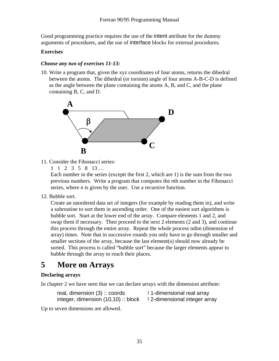Good programming practice requires the use of the intent attribute for the dummy arguments of procedures, and the use of interface blocks for external procedures.

#### **Exercises**

#### *Choose any two of exercises 11-13:*

10. Write a program that, given the xyz coordinates of four atoms, returns the dihedral between the atoms. The dihedral (or torsion) angle of four atoms A-B-C-D is defined as the angle between the plane containing the atoms A, B, and C, and the plane containing B, C, and D.



- 11. Consider the Fibonacci series:
	- 1 1 2 3 5 8 13 …

 Each number in the series (exceptt the first 2, which are 1) is the sum from the two previous numbers. Write a program that computes the *n*th number in the Fibonacci series, where *n* is given by the user. Use a recursive function.

12. Bubble sort.

Create an unordered data set of integers (for example by reading them in), and write a subroutine to sort them in ascending order. One of the easiest sort algorithms is bubble sort. Start at the lower end of the array. Compare elements 1 and 2, and swap them if necessary. Then proceed to the next 2 elements (2 and 3), and continue this process through the entire array. Repeat the whole process ndim (dimension of array) times. Note that in successive rounds you only have to go through smaller and smaller sections of the array, because the last element(s) should now already be sorted. This process is called "bubble sort" because the larger elements appear to bubble through the array to reach their places.

## **5 More on Arrays**

#### **Declaring arrays**

In chapter 2 we have seen that we can declare arrays with the dimension attribute:

real, dimension (3) :: coords ! 1-dimensional real array integer, dimension (10,10) :: block ! 2-dimensional integer array

Up to seven dimensions are allowed.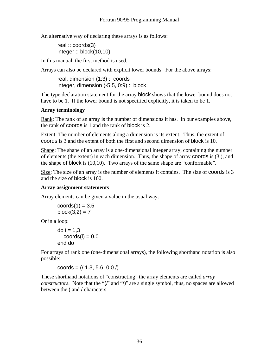An alternative way of declaring these arrays is as follows:

 real :: coords(3) integer :: block(10,10)

In this manual, the first method is used.

Arrays can also be declared with explicit lower bounds. For the above arrays:

real, dimension (1:3) :: coords integer, dimension (-5:5, 0:9) :: block

The type declaration statement for the array block shows that the lower bound does not have to be 1. If the lower bound is not specified explicitly, it is taken to be 1.

#### **Array terminology**

Rank: The rank of an array is the number of dimensions it has. In our examples above, the rank of coords is 1 and the rank of block is 2.

Extent: The number of elements along a dimension is its extent. Thus, the extent of coords is 3 and the extent of both the first and second dimension of block is 10.

Shape: The shape of an array is a one-dimensional integer array, containing the number of elements (the extent) in each dimension. Thus, the shape of array coords is (3 ), and the shape of block is (10,10). Two arrays of the same shape are "conformable".

Size: The size of an array is the number of elements it contains. The size of coords is 3 and the size of block is 100.

#### **Array assignment statements**

Array elements can be given a value in the usual way:

$$
coordinates(1) = 3.5
$$
  

$$
block(3,2) = 7
$$

Or in a loop:

do  $i = 1,3$  $coords(i) = 0.0$ end do

For arrays of rank one (one-dimensional arrays), the following shorthand notation is also possible:

coords =  $(71.3, 5.6, 0.0)$ 

These shorthand notations of "constructing" the array elements are called *array constructors*. Note that the "(*l*" and "/)" are a single symbol, thus, no spaces are allowed between the ( and / characters.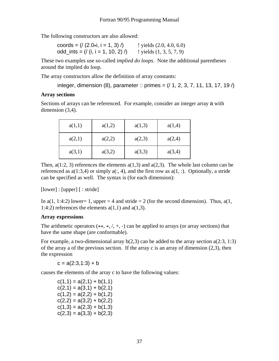The following constructors are also allowed:

| coords = $\left($ / $(2.0 \times i, i = 1, 3)$ / $\right)$ | $!$ yields $(2.0, 4.0, 6.0)$ |
|------------------------------------------------------------|------------------------------|
| odd_ints = $\left(\frac{1}{1}, i = 1, 10, 2\right)$ /      | $!$ yields $(1, 3, 5, 7, 9)$ |

These two examples use so-called *implied do loops*. Note the additional parentheses around the implied do loop.

The array constructors allow the definition of array constants:

integer, dimension (8), parameter :: primes =  $(1, 2, 3, 7, 11, 13, 17, 19)$ 

#### **Array sections**

Sections of arrays can be referenced. For example, consider an integer array a with dimension  $(3,4)$ .

| a(1,1) | a(1,2) | a(1,3) | a(1,4) |
|--------|--------|--------|--------|
| a(2,1) | a(2,2) | a(2,3) | a(2,4) |
| a(3,1) | a(3,2) | a(3,3) | a(3,4) |

Then,  $a(1:2, 3)$  references the elements  $a(1,3)$  and  $a(2,3)$ . The whole last column can be referenced as  $a(1:3,4)$  or simply  $a(:, 4)$ , and the first row as  $a(1,:)$ . Optionally, a stride can be specified as well. The syntax is (for each dimension):

[lower] : [upper] [ : stride]

In  $a(1, 1:4:2)$  lower= 1, upper = 4 and stride = 2 (for the second dimension). Thus,  $a(1, 1:4:2)$ 1:4:2) references the elements  $a(1,1)$  and  $a(1,3)$ .

#### **Array expressions**

The arithmetic operators  $(**, *, /, +, -$  can be applied to arrays (or array sections) that have the same shape (are conformable).

For example, a two-dimensional array  $b(2,3)$  can be added to the array section  $a(2:3, 1:3)$ of the array a of the previous section. If the array c is an array of dimension (2,3), then the expression

 $c = a(2:3,1:3) + b$ 

causes the elements of the array c to have the following values:

 $c(1,1) = a(2,1) + b(1,1)$  $c(2,1) = a(3,1) + b(2,1)$  $c(1,2) = a(2,2) + b(1,2)$  $c(2,2) = a(3,2) + b(2,2)$  $c(1,3) = a(2,3) + b(1,3)$  $c(2,3) = a(3,3) + b(2,3)$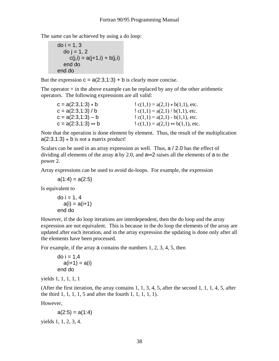The same can be achieved by using a do loop:

```
do i = 1, 3do i = 1, 2c(j,i) = a(j+1,i) + b(j,i) end do 
 end do
```
But the expression  $c = a(2:3,1:3) + b$  is clearly more concise.

The operator  $+$  in the above example can be replaced by any of the other arithmetic operators. The following expressions are all valid:

| $c = a(2:3,1:3) * b$ | $c(1,1) = a(2,1) * b(1,1)$ , etc.           |
|----------------------|---------------------------------------------|
| $c = a(2:3,1:3) / b$ | $c(1,1) = a(2,1) / b(1,1)$ , etc.           |
| $c = a(2:3,1:3) - b$ | $c(1,1) = a(2,1) - b(1,1)$ , etc.           |
| $c = a(2:3,1:3) * b$ | $c(1,1) = a(2,1) \rightarrow b(1,1)$ , etc. |

Note that the operation is done element by element. Thus, the result of the multiplication  $a(2:3,1:3) * b$  is not a matrix product!

Scalars can be used in an array expression as well. Thus, a / 2.0 has the effect of dividing all elements of the array a by 2.0, and a\*\*2 raises all the elements of a to the power 2.

Array expressions can be used to avoid do-loops. For example, the expression

$$
a(1:4) = a(2:5)
$$

Is equivalent to

$$
do i = 1, 4
$$
  
\n
$$
a(i) = a(i+1)
$$
  
\nend do

However, if the do loop iterations are interdependent, then the do loop and the array expression are not equivalent. This is because in the do loop the elements of the array are updated after each iteration, and in the array expression the updating is done only after all the elements have been processed.

For example, if the array a contains the numbers 1, 2, 3, 4, 5, then

```
do i = 1.4a(i+1) = a(i) end do
```
yields 1, 1, 1, 1, 1

(After the first iteration, the array contains  $1, 1, 3, 4, 5$ , after the second  $1, 1, 1, 4, 5$ , after the third 1, 1, 1, 1, 5 and after the fourth 1, 1, 1, 1, 1).

However,

```
a(2:5) = a(1:4)
```
yields 1, 1, 2, 3, 4.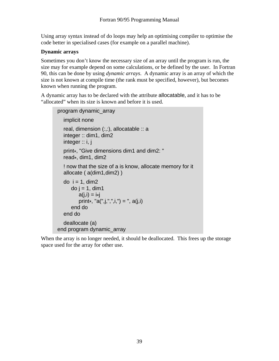Using array syntax instead of do loops may help an optimising compiler to optimise the code better in specialised cases (for example on a parallel machine).

#### **Dynamic arrays**

Sometimes you don't know the necessary size of an array until the program is run, the size may for example depend on some calculations, or be defined by the user. In Fortran 90, this can be done by using *dynamic arrays*. A dynamic array is an array of which the size is not known at compile time (the rank must be specified, however), but becomes known when running the program.

A dynamic array has to be declared with the attribute allocatable, and it has to be "allocated" when its size is known and before it is used.

```
program dynamic_array 
   implicit none 
  real, dimension (:,:), allocatable :: a
   integer :: dim1, dim2 
   integer :: i, j 
   print*, "Give dimensions dim1 and dim2: " 
   read*, dim1, dim2 
   ! now that the size of a is know, allocate memory for it 
   allocate ( a(dim1,dim2) ) 
  do i = 1, dim2
      do i = 1, dim1
         a(j,i) = i *jprint*, "a(",j,",",i,") = ", a(j,i)
       end do 
   end do 
   deallocate (a) 
 end program dynamic_array
```
When the array is no longer needed, it should be deallocated. This frees up the storage space used for the array for other use.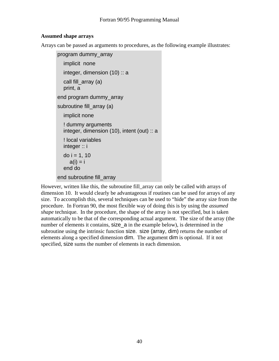#### **Assumed shape arrays**

Arrays can be passed as arguments to procedures, as the following example illustrates:

```
program dummy_array 
   implicit none 
   integer, dimension (10) :: a 
  call fill_array (a)
   print, a 
 end program dummy_array 
subroutine fill_array (a)
   implicit none 
   ! dummy arguments 
   integer, dimension (10), intent (out) :: a 
   ! local variables 
   integer :: i 
  do i = 1, 10a(i) = i end do 
 end subroutine fill_array
```
However, written like this, the subroutine fill array can only be called with arrays of dimension 10. It would clearly be advantageous if routines can be used for arrays of any size. To accomplish this, several techniques can be used to "hide" the array size from the procedure. In Fortran 90, the most flexible way of doing this is by using the *assumed shape* technique. In the procedure, the shape of the array is not specified, but is taken automatically to be that of the corresponding actual argument. The size of the array (the number of elements it contains, size a in the example below), is determined in the subroutine using the intrinsic function size. size (array, dim) returns the number of elements along a specified dimension dim. The argument dim is optional. If it not specified, size sums the number of elements in each dimension.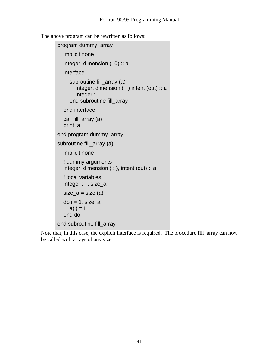The above program can be rewritten as follows:

```
program dummy_array 
   implicit none 
  integer, dimension (10) :: a
   interface 
      subroutine fill_array (a) 
         integer, dimension ( : ) intent (out) :: a 
         integer :: i 
      end subroutine fill_array 
   end interface 
   call fill_array (a) 
   print, a 
 end program dummy_array 
 subroutine fill_array (a) 
   implicit none 
   ! dummy arguments 
   integer, dimension ( : ), intent (out) :: a 
   ! local variables 
   integer :: i, size_a 
  size_a = size(a)do i = 1, size_a
     a(i) = i end do 
 end subroutine fill_array
```
Note that, in this case, the explicit interface is required. The procedure fill\_array can now be called with arrays of any size.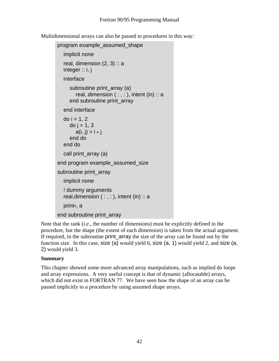Multidimensional arrays can also be passed to procedures in this way:

```
program example_assumed_shape 
   implicit none 
  real, dimension (2, 3): a
  integer :: i, j
   interface 
     subroutine print_array (a)
        real, dimension (:,:), intent (in) ::a end subroutine print_array 
   end interface 
  do i = 1, 2do j = 1, 3a(i, j) = i * j end do 
   end do 
  call print_array (a)
 end program example_assumed_size 
subroutine print_array
   implicit none 
   ! dummy arguments 
  real, dimension ( : , : ), intent (in) :: a print*, a 
 end subroutine print_array
```
Note that the rank (*i.e*., the number of dimensions) must be explicitly defined in the procedure, but the shape (the extent of each dimension) is taken from the actual argument. If required, in the subroutine print\_array the size of the array can be found out by the function size. In this case, size (a) would yield 6, size (a, 1) would yield 2, and size (a, 2) would yield 3.

#### **Summary**

This chapter showed some more advanced array manipulations, such as implied do loops and array expressions. A very useful concept is that of dynamic (allocatable) arrays, which did not exist in FORTRAN 77. We have seen how the shape of an array can be passed implicitly to a procedure by using assumed shape arrays.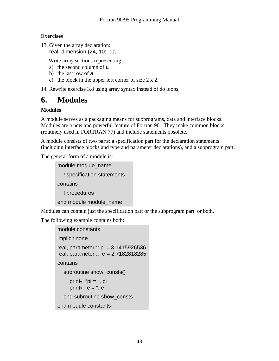#### **Exercises**

13. Given the array declaration: real, dimension  $(24, 10)$ : a

Write array sections representing:

- a) the second column of a
- b) the last row of a
- c) the block in the upper left corner of size 2 x 2.

14. Rewrite exercise 3.8 using array syntax instead of do loops.

## **6. Modules**

#### **Modules**

A module serves as a packaging means for subprograms, data and interface blocks. Modules are a new and powerful feature of Fortran 90. They make common blocks (routinely used in FORTRAN 77) and include statements obsolete.

A module consists of two parts: a specification part for the declaration statements (including interface blocks and type and parameter declarations), and a subprogram part.

The general form of a module is:

```
 module module_name 
   ! specification statements 
 contains 
   ! procedures 
 end module module_name
```
Modules can contain just the specification part or the subprogram part, or both.

The following example contains both:

```
 module constants 
 implicit none 
 real, parameter :: pi = 3.1415926536 
real, parameter :: e = 2.7182818285contains 
   subroutine show_consts() 
      print*, "pi = ", pi 
     print*, e = ". e end subroutine show_consts 
end module constants
```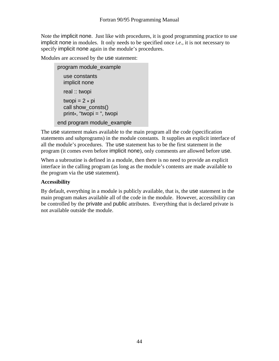Note the implicit none. Just like with procedures, it is good programming practice to use implicit none in modules. It only needs to be specified once *i.e*., it is not necessary to specify implicit none again in the module's procedures.

Modules are accessed by the use statement:

```
program module_example 
   use constants 
   implicit none 
   real :: twopi 
  twopi = 2 * pi call show_consts() 
   print*, "twopi = ", twopi 
 end program module_example
```
The use statement makes available to the main program all the code (specification statements and subprograms) in the module constants. It supplies an explicit interface of all the module's procedures. The use statement has to be the first statement in the program (it comes even before implicit none), only comments are allowed before use.

When a subroutine is defined in a module, then there is no need to provide an explicit interface in the calling program (as long as the module's contents are made available to the program via the use statement).

#### **Accessibility**

By default, everything in a module is publicly available, that is, the use statement in the main program makes available all of the code in the module. However, accessibility can be controlled by the private and public attributes. Everything that is declared private is not available outside the module.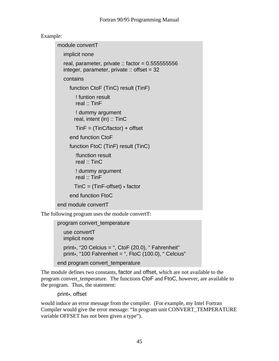#### Example:

 module convertT implicit none real, parameter, private :: factor =  $0.555555556$ integer, parameter, private  $\therefore$  offset = 32 contains function CtoF (TinC) result (TinF) ! funtion result real :: TinF ! dummy argument real, intent (in) :: TinC  $TinF = (TinC/factor) + offset$  end function CtoF function FtoC (TinF) result (TinC) !function result real :: TinC ! dummy argument real :: TinF  $Tinc = (TinF\text{-}offset) * factor$  end function FtoC end module convertT

The following program uses the module convertT:

```
program convert_temperature 
   use convertT 
   implicit none 
  print*, "20 Celcius = ", CtoF (20.0), " Fahrenheit"
  print*, "100 Fahrenheit = ", FtoC (100.0), " Celcius"
```

```
end program convert_temperature
```
The module defines two constants, factor and offset, which are not available to the program convert\_temperature. The functions CtoF and FtoC, however, are available to the program. Thus, the statement:

print\*, offset

would induce an error message from the compiler. (For example, my Intel Fortran Compiler would give the error message: "In program unit CONVERT\_TEMPERATURE variable OFFSET has not been given a type").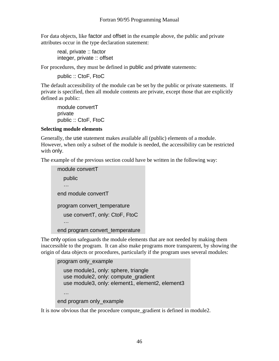For data objects, like factor and offset in the example above, the public and private attributes occur in the type declaration statement:

 real, private :: factor integer, private :: offset

For procedures, they must be defined in public and private statements:

public :: CtoF, FtoC

The default accessibility of the module can be set by the public or private statements. If private is specified, then all module contents are private, except those that are explicitly defined as public:

module convertT private public :: CtoF, FtoC

#### **Selecting module elements**

Generally, the use statement makes available all (public) elements of a module. However, when only a subset of the module is needed, the accessibility can be restricted with only.

The example of the previous section could have be written in the following way:

```
module convertT 
   public 
   … 
end module convertT
program convert_temperature 
   use convertT, only: CtoF, FtoC 
   … 
 end program convert_temperature
```
The only option safeguards the module elements that are not needed by making them inaccessible to the program. It can also make programs more transparent, by showing the origin of data objects or procedures, particularly if the program uses several modules:

```
program only_example 
   use module1, only: sphere, triangle 
  use module2, only: compute_gradient
  use module3, only: element1, element2, element3
   … 
 end program only_example
```
It is now obvious that the procedure compute\_gradient is defined in module2.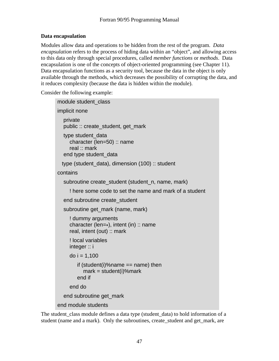#### **Data encapsulation**

Modules allow data and operations to be hidden from the rest of the program. *Data encapsulation* refers to the process of hiding data within an "object", and allowing access to this data only through special procedures, called *member functions* or *methods*. Data encapsulation is one of the concepts of object-oriented programming (see Chapter 11). Data encapsulation functions as a security tool, because the data in the object is only available through the methods, which decreases the possibility of corrupting the data, and it reduces complexity (because the data is hidden within the module).

Consider the following example:

```
 module student_class 
 implicit none 
   private 
   public :: create_student, get_mark 
   type student_data 
      character (len=50) :: name 
      real :: mark 
   end type student_data 
 type (student data), dimension (100) :: student
 contains 
   subroutine create_student (student_n, name, mark) 
      ! here some code to set the name and mark of a student 
   end subroutine create_student 
   subroutine get_mark (name, mark) 
     ! dummy arguments
      character (len=*), intent (in) :: name 
      real, intent (out) :: mark 
      ! local variables 
      integer :: i 
     do i = 1,100if (student(i)%name == name) then
           mark = student(i)%mark
         end if 
      end do 
   end subroutine get_mark 
 end module students
```
The student\_class module defines a data type (student\_data) to hold information of a student (name and a mark). Only the subroutines, create\_student and get\_mark, are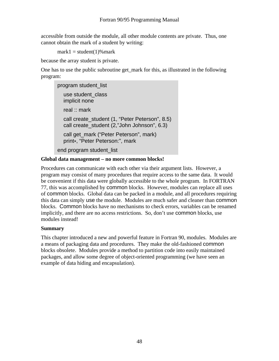accessible from outside the module, all other module contents are private. Thus, one cannot obtain the mark of a student by writing:

 $mark1 = student(1)\%mark$ 

because the array student is private.

One has to use the public subroutine get\_mark for this, as illustrated in the following program:

program student\_list use student\_class implicit none real :: mark call create\_student (1, "Peter Peterson", 8.5) call create\_student (2,"John Johnson", 6.3) call get mark ("Peter Peterson", mark) print\*, "Peter Peterson:", mark end program student\_list

#### **Global data management – no more common blocks!**

Procedures can communicate with each other via their argument lists. However, a program may consist of many procedures that require access to the same data. It would be convenient if this data were globally accessible to the whole program. In FORTRAN 77, this was accomplished by common blocks. However, modules can replace all uses of common blocks. Global data can be packed in a module, and all procedures requiring this data can simply use the module. Modules are much safer and cleaner than common blocks. Common blocks have no mechanisms to check errors, variables can be renamed implicitly, and there are no access restrictions. So, don't use common blocks, use modules instead!

#### **Summary**

This chapter introduced a new and powerful feature in Fortran 90, modules. Modules are a means of packaging data and procedures. They make the old-fashioned common blocks obsolete. Modules provide a method to partition code into easily maintained packages, and allow some degree of object-oriented programming (we have seen an example of data hiding and encapsulation).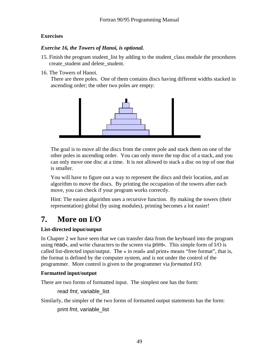#### **Exercises**

#### *Exercise 16, the Towers of Hanoi, is optional.*

- 15. Finish the program student\_list by adding to the student\_class module the procedures create\_student and delete\_student.
- 16. The Towers of Hanoi.

 There are three poles. One of them contains discs having different widths stacked in ascending order; the other two poles are empty:



The goal is to move all the discs from the centre pole and stack them on one of the other poles in ascending order. You can only move the top disc of a stack, and you can only move one disc at a time. It is not allowed to stack a disc on top of one that is smaller.

You will have to figure out a way to represent the discs and their location, and an algorithm to move the discs. By printing the occupation of the towers after each move, you can check if your program works correctly.

Hint: The easiest algorithm uses a recursive function. By making the towers (their representation) global (by using modules), printing becomes a lot easier!

## **7. More on I/O**

#### **List-directed input/output**

In Chapter 2 we have seen that we can transfer data from the keyboard into the program using read\*, and write characters to the screen via print\*. This simple form of I/O is called list-directed input/output. The  $*$  in read $*$  and print $*$  means "free format", that is, the format is defined by the computer system, and is not under the control of the programmer. More control is given to the programmer via *formatted I/O*.

#### **Formatted input/output**

There are two forms of formatted input. The simplest one has the form:

read *fmt*, variable\_list

Similarly, the simpler of the two forms of formatted output statements has the form:

print *fmt*, variable\_list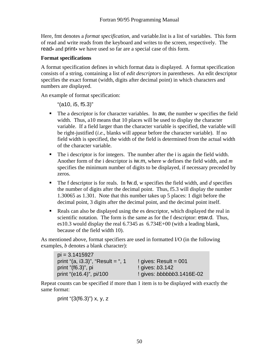Here, fmt denotes a *format specification*, and variable-list is a list of variables. This form of read and write reads from the keyboard and writes to the screen, respectively. The read<sup>\*</sup> and print<sup>\*</sup> we have used so far are a special case of this form.

#### **Format specifications**

A format specification defines in which format data is displayed. A format specification consists of a string, containing a list of *edit descriptors* in parentheses. An edit descriptor specifies the exact format (width, digits after decimal point) in which characters and numbers are displayed.

An example of format specification:

"(a10, i5, f5.3)"

- The a descriptor is for character variables. In aw, the number *w* specifies the field width. Thus, a10 means that 10 places will be used to display the character variable. If a field larger than the character variable is specified, the variable will be right-justified (*i.e*., blanks will appear before the character variable). If no field width is specified, the width of the field is determined from the actual width of the character variable.
- The i descriptor is for integers. The number after the i is again the field width. Another form of the i descriptor is iw.m, where *w* defines the field width, and *m* specifies the minimum number of digits to be displayed, if necessary preceded by zeros.
- The f descriptor is for reals. In fw.d, *w* specifies the field width, and *d* specifies the number of digits after the decimal point. Thus, f5.3 will display the number 1.30065 as 1.301. Note that this number takes up 5 places: 1 digit before the decimal point, 3 digits after the decimal point, and the decimal point itself.
- Reals can also be displayed using the es descriptor, which displayed the real in scientific notation. The form is the same as for the f descriptor: esw.d. Thus, es10.3 would display the real 6.7345 as 6.734E+00 (with a leading blank, because of the field width 10).

As mentioned above, format specifiers are used in formatted I/O (in the following examples, *b* denotes a blank character):

| $pi = 3.1415927$                  |                           |
|-----------------------------------|---------------------------|
| print "(a, i3.3)", "Result = ", 1 | ! gives: Result = $001$   |
| print $"({f6.3})"$ , pi           | ! gives: b3.142           |
| print "(e16.4)", pi/100           | ! gives: bbbbbb3.1416E-02 |

Repeat counts can be specified if more than 1 item is to be displayed with exactly the same format:

print "(3(f6.3)") x, y, z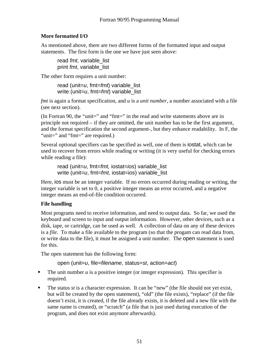#### **More formatted I/O**

As mentioned above, there are two different forms of the formatted input and output statements. The first form is the one we have just seen above:

read *fmt*, variable list print *fmt*, variable\_list

The other form requires a unit number:

 read (unit=*u*, fmt=*fmt*) variable\_list write (unit=*u*, fmt=*fmt*) variable\_list

*fmt* is again a format specification, and *u* is a *unit number,* a number associated with a file (see next section).

(In Fortran 90, the "unit=" and "fmt=" in the read and write statements above are in principle not required – if they are omitted, the unit number has to be the first argument, and the format specification the second argument-, but they enhance readability. In F, the "unit=" and "fmt=" are required.)

Several optional specifiers can be specified as well, one of them is iostat, which can be used to recover from errors while reading or writing (it is very useful for checking errors while reading a file):

```
read (unit=u, fmt=fmt, iostat=ios) variable_list 
 write (unit=u, fmt=fmt, iostat=ios) variable_list
```
Here, ios must be an integer variable. If no errors occurred during reading or writing, the integer variable is set to 0, a positive integer means an error occurred, and a negative integer means an end-of-file condition occurred.

#### **File handling**

Most programs need to receive information, and need to output data. So far, we used the keyboard and screen to input and output information. However, other devices, such as a disk, tape, or cartridge, can be used as well. A collection of data on any of these devices is a *file*. To make a file available to the program (so that the progam can read data from, or write data to the file), it must be assigned a unit number. The open statement is used for this.

The open statement has the following form:

open (unit=*u*, file=*filename*, status=*st*, action=*act*)

- The unit number  $u$  is a positive integer (or integer expression). This specifier is required.
- The status *st* is a character expression. It can be "new" (the file should not yet exist, but will be created by the open statement), "old" (the file exists), "replace" (if the file doesn't exist, it is created, if the file already exists, it is deleted and a new file with the same name is created), or "scratch" (a file that is just used during execution of the program, and does not exist anymore afterwards).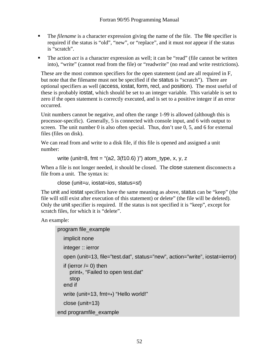- The *filename* is a character expression giving the name of the file. The file specifier is required if the status is "old", "new", or "replace", and it must *not* appear if the status is "scratch".
- The action *act* is a character expression as well; it can be "read" (file cannot be written into), "write" (cannot read from the file) or "readwrite" (no read and write restrictions).

These are the most common specifiers for the open statement (and are all required in F, but note that the filename must not be specified if the status is "scratch"). There are optional specifiers as well (access, iostat, form, recl, and position). The most useful of these is probably iostat, which should be set to an integer variable. This variable is set to zero if the open statement is correctly executed, and is set to a positive integer if an error occurred.

Unit numbers cannot be negative, and often the range 1-99 is allowed (although this is processor-specific). Generally, 5 is connected with console input, and 6 with output to screen. The unit number 0 is also often special. Thus, don't use 0, 5, and 6 for external files (files on disk).

We can read from and write to a disk file, if this file is opened and assigned a unit number:

write (unit=8, fmt = "(a2, 3(f10.6))") atom\_type, x, y, z

When a file is not longer needed, it should be closed. The close statement disconnects a file from a unit. The syntax is:

```
close (unit=u, iostat=ios, status=st)
```
The unit and iostat specifiers have the same meaning as above, status can be "keep" (the file will still exist after execution of this statement) or delete<sup>"</sup> (the file will be deleted). Only the unit specifier is required. If the status is not specified it is "keep", except for scratch files, for which it is "delete".

An example:

```
program file_example 
   implicit none 
   integer :: ierror 
   open (unit=13, file="test.dat", status="new", action="write", iostat=ierror) 
  if (ierror /= 0) then
      print*, "Failed to open test.dat" 
      stop 
   end if 
   write (unit=13, fmt=*) "Hello world!" 
   close (unit=13) 
 end programfile_example
```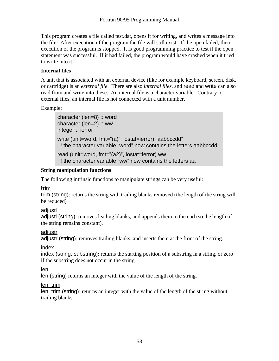This program creates a file called test.dat, opens it for writing, and writes a message into the file. After execution of the program the file will still exist. If the open failed, then execution of the program is stopped. It is good programming practice to test if the open statement was successful. If it had failed, the program would have crashed when it tried to write into it.

#### **Internal files**

A unit that is associated with an external device (like for example keyboard, screen, disk, or cartridge) is an *external file*. There are also *internal files*, and read and write can also read from and write into these. An internal file is a character variable. Contrary to external files, an internal file is not connected with a unit number.

Example:

```
character (len=8) :: word 
character (len=2) :: ww
 integer :: ierror 
 write (unit=word, fmt="(a)", iostat=ierror) "aabbccdd" 
  ! the character variable "word" now contains the letters aabbccdd 
 read (unit=word, fmt="(a2)", iostat=ierror) ww 
  ! the character variable "ww" now contains the letters aa
```
#### **String manipulation functions**

The following intrinsic functions to manipulate strings can be very useful:

#### trim

trim (string): returns the string with trailing blanks removed (the length of the string will be reduced)

#### adjustl

adjustl (string): removes leading blanks, and appends them to the end (so the length of the string remains constant).

#### adiustr

adjustr (string): removes trailing blanks, and inserts them at the front of the string.

#### index

index (string, substring): returns the starting position of a substring in a string, or zero if the substring does not occur in the string.

#### len

len (string) returns an integer with the value of the length of the string.

#### len\_trim

len\_trim (string): returns an integer with the value of the length of the string without trailing blanks.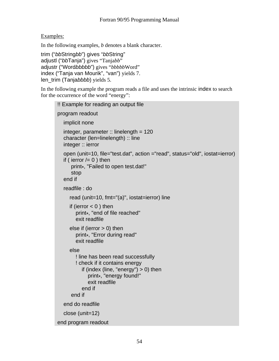#### Examples:

In the following examples, *b* denotes a blank character.

```
trim ("bbStringbb") gives "bbString" 
adjustl ("bbTanja") gives "Tanjabb" 
adjustr ("Wordbbbbb") gives "bbbbbWord" 
index ("Tanja van Mourik", "van") yields 7. 
len_trim (Tanjabbbb) yields 5.
```
In the following example the program reads a file and uses the intrinsic index to search for the occurrence of the word "energy":

```
!! Example for reading an output file 
program readout 
   implicit none 
  integer, parameter \therefore linelength = 120
   character (len=linelength) :: line 
   integer :: ierror 
   open (unit=10, file="test.dat", action ="read", status="old", iostat=ierror) 
  if ( ierror /= 0 ) then
       print*, "Failed to open test.dat!" 
       stop 
   end if 
   readfile : do 
      read (unit=10, fmt="(a)", iostat=ierror) line 
     if (ierror < 0) then
         print*, "end of file reached" 
         exit readfile 
     else if (ierror > 0) then
         print*, "Error during read" 
         exit readfile 
      else 
         ! line has been read successfully 
         ! check if it contains energy 
           if (index (line, "energy") > 0) then
               print*, "energy found!" 
               exit readfile 
            end if 
       end if 
   end do readfile 
   close (unit=12) 
end program readout
```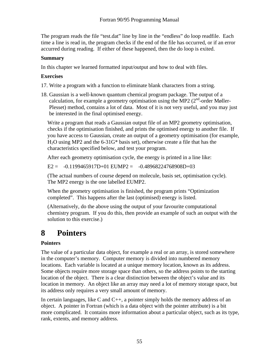The program reads the file "test.dat" line by line in the "endless" do loop readfile. Each time a line is read in, the program checks if the end of the file has occurred, or if an error accurred during reading. If either of these happened, then the do loop is exited.

#### **Summary**

In this chapter we learned formatted input/output and how to deal with files.

#### **Exercises**

17. Write a program with a function to eliminate blank characters from a string.

18. Gaussian is a well-known quantum chemical program package. The output of a calculation, for example a geometry optimisation using the MP2 ( $2<sup>nd</sup>$ -order Møller-Plesset) method, contains a lot of data. Most of it is not very useful, and you may just be interested in the final optimised energy.

Write a program that reads a Gaussian output file of an MP2 geometry optimisation, checks if the optimisation finished, and prints the optimised energy to another file. If you have access to Gaussian, create an output of a geometry optimisation (for example,  $H<sub>2</sub>O$  using MP2 and the 6-31G<sup>\*</sup> basis set), otherwise create a file that has the characteristics specified below, and test your program.

After each geometry optimisation cycle, the energy is printed in a line like:

 $E2 = -0.1199465917D + 01 \text{ EUMP2} = -0.48968224768908D + 03$ 

(The actual numbers of course depend on molecule, basis set, optimisation cycle). The MP2 energy is the one labelled EUMP2.

When the geometry optimisation is finished, the program prints "Optimization completed". This happens after the last (optimised) energy is listed.

(Alternatively, do the above using the output of your favourite computational chemistry program. If you do this, then provide an example of such an output with the solution to this exercise.)

## **8 Pointers**

#### **Pointers**

The value of a particular data object, for example a real or an array, is stored somewhere in the computer's memory. Computer memory is divided into numbered memory locations. Each variable is located at a unique memory location, known as its address. Some objects require more storage space than others, so the address points to the starting location of the object. There is a clear distinction between the object's value and its location in memory. An object like an array may need a lot of memory storage space, but its address only requires a very small amount of memory.

In certain languages, like C and  $C_{++}$ , a pointer simply holds the memory address of an object. A pointer in Fortran (which is a data object with the pointer attribute) is a bit more complicated. It contains more information about a particular object, such as its type, rank, extents, and memory address.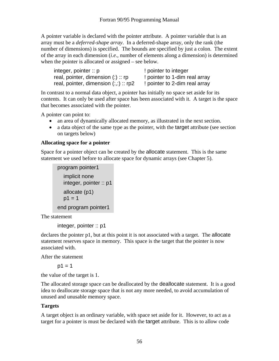A pointer variable is declared with the pointer attribute. A pointer variable that is an array must be a *deferred-shape array*. In a deferred-shape array, only the rank (the number of dimensions) is specified. The bounds are specified by just a colon. The extent of the array in each dimension (*i.e*., number of elements along a dimension) is determined when the pointer is allocated or assigned – see below.

| integer, pointer $\therefore$ p       | ! pointer to integer          |
|---------------------------------------|-------------------------------|
| real, pointer, dimension $(:):$ rp    | ! pointer to 1-dim real array |
| real, pointer, dimension $(:,:)::rp2$ | ! pointer to 2-dim real array |

In contrast to a normal data object, a pointer has initially no space set aside for its contents. It can only be used after space has been associated with it. A target is the space that becomes associated with the pointer.

A pointer can point to:

- an area of dynamically allocated memory, as illustrated in the next section.
- a data object of the same type as the pointer, with the target attribute (see section on targets below)

#### **Allocating space for a pointer**

Space for a pointer object can be created by the allocate statement. This is the same statement we used before to allocate space for dynamic arrays (see Chapter 5).

```
program pointer1 
   implicit none 
   integer, pointer :: p1 
   allocate (p1) 
  p1 = 1 end program pointer1
```
The statement

```
 integer, pointer :: p1
```
declares the pointer p1, but at this point it is not associated with a target. The allocate statement reserves space in memory. This space is the target that the pointer is now associated with.

After the statement

 $p1 = 1$ 

the value of the target is 1.

The allocated storage space can be deallocated by the deallocate statement. It is a good idea to deallocate storage space that is not any more needed, to avoid accumulation of unused and unusable memory space.

#### **Targets**

A target object is an ordinary variable, with space set aside for it. However, to act as a target for a pointer is must be declared with the target attribute. This is to allow code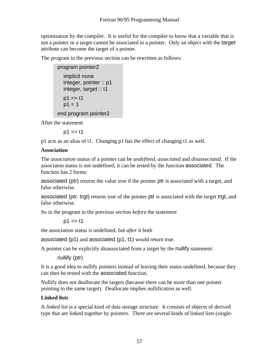optimisation by the compiler. It is useful for the compiler to know that a variable that is not a pointer or a target cannot be associated to a pointer. Only an object with the target attribute can become the target of a pointer.

The program in the previous section can be rewritten as follows:

```
program pointer2 
    implicit none 
    integer, pointer :: p1 
    integer, target :: t1 
   p1 \Rightarrow t1p1 = 1 end program pointer2
```
After the statement

 $p1 \Rightarrow t1$ 

p1 acts as an alias of t1. Changing p1 has the effect of changing t1 as well.

#### **Association**

The *association status* of a pointer can be *undefined*, *associated* and *disassociated*. If the associaton status is not undefined, it can be tested by the function associated. The function has 2 forms:

associated (ptr) returns the value true if the pointer ptr is associated with a target, and false otherwise.

associated (ptr, trgt) returns true of the pointer ptr is associated with the target trgt, and false otherwise.

So in the program in the previous section *before* the statement

```
p1 \Rightarrow t1
```
the association status is undefined, but *after* it both

associated (p1) and associated (p1, t1) would return true.

A pointer can be explicitly disassociated from a target by the nullify statement:

nullify (ptr)

It is a good idea to nullify pointers instead of leaving their status undefined, because they can then be tested with the associated function.

Nullify does not deallocate the targets (because there can be more than one pointer pointing to the same target). Deallocate implies nullification as well.

#### **Linked lists**

A *linked list* is a special kind of data storage structure. It consists of objects of derived type that are linked together by pointers. There are several kinds of linked lists (single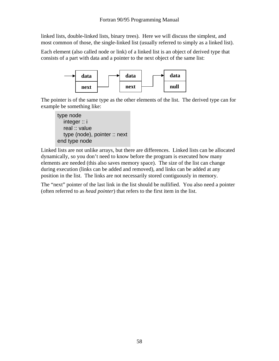linked lists, double-linked lists, binary trees). Here we will discuss the simplest, and most common of those, the single-linked list (usually referred to simply as a linked list).

Each element (also called node or link) of a linked list is an object of derived type that consists of a part with data and a pointer to the next object of the same list:



The pointer is of the same type as the other elements of the list. The derived type can for example be something like:



Linked lists are not unlike arrays, but there are differences. Linked lists can be allocated dynamically, so you don't need to know before the program is executed how many elements are needed (this also saves memory space). The size of the list can change during execution (links can be added and removed), and links can be added at any position in the list. The links are not necessarily stored contiguously in memory.

The "next" pointer of the last link in the list should be nullified. You also need a pointer (often referred to as *head pointer*) that refers to the first item in the list.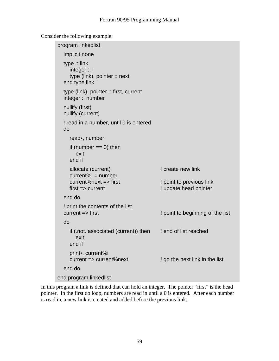Consider the following example:

```
program linkedlist 
   implicit none 
   type :: link 
      integer :: i 
      type (link), pointer :: next 
   end type link 
   type (link), pointer :: first, current 
   integer :: number 
   nullify (first) 
   nullify (current) 
   ! read in a number, until 0 is entered 
   do 
      read*, number 
     if (number == 0) then
         exit 
      end if 
     allocate (current) allocate (current) 1 is create new link
     current\%i = number
      current%next => first ! point to previous link 
     first => current example 1 update head pointer
   end do 
   ! print the contents of the list 
  current => first \blacksquare ! point to beginning of the list
   do 
     if (.not. associated (current)) then ! end of list reached
         exit 
      end if 
     print*, current%i<br>current => current%next
                                              ! go the next link in the list
   end do 
end program linkedlist
```
In this program a link is defined that can hold an integer. The pointer "first" is the head pointer. In the first do loop, numbers are read in until a 0 is entered. After each number is read in, a new link is created and added before the previous link.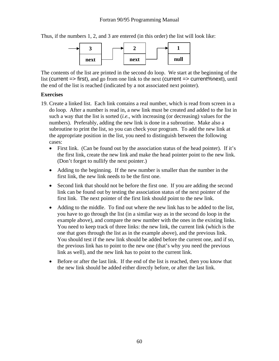#### Fortran 90/95 Programming Manual

Thus, if the numbers 1, 2, and 3 are entered (in this order) the list will look like:



The contents of the list are printed in the second do loop. We start at the beginning of the list (current => first), and go from one link to the next (current => current%next), until the end of the list is reached (indicated by a not associated next pointer).

#### **Exercises**

- 19. Create a linked list. Each link contains a real number, which is read from screen in a do loop. After a number is read in, a new link must be created and added to the list in such a way that the list is sorted (*i.e.*, with increasing (or decreasing) values for the numbers). Preferably, adding the new link is done in a subroutine. Make also a subroutine to print the list, so you can check your program. To add the new link at the appropriate position in the list, you need to distinguish between the following cases:
	- First link. (Can be found out by the association status of the head pointer). If it's the first link, create the new link and make the head pointer point to the new link. (Don't forget to nullify the next pointer.)
	- Adding to the beginning. If the new number is smaller than the number in the first link, the new link needs to be the first one.
	- Second link that should not be before the first one. If you are adding the second link can be found out by testing the association status of the next pointer of the first link. The next pointer of the first link should point to the new link.
	- Adding to the middle. To find out where the new link has to be added to the list, you have to go through the list (in a similar way as in the second do loop in the example above), and compare the new number with the ones in the existing links. You need to keep track of three links: the new link, the current link (which is the one that goes through the list as in the example above), and the previous link. You should test if the new link should be added before the current one, and if so, the previous link has to point to the new one (that's why you need the previous link as well), and the new link has to point to the current link.
	- Before or after the last link. If the end of the list is reached, then you know that the new link should be added either directly before, or after the last link.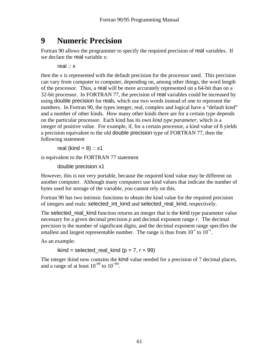## **9 Numeric Precision**

Fortran 90 allows the programmer to specify the required precision of real variables. If we declare the real variable x:

real :: x

then the x is represented with the default precision for the processor used. This precision can vary from computer to computer, depending on, among other things, the word length of the processor. Thus, a real will be more accurately represented on a 64-bit than on a 32-bit processor. In FORTRAN 77, the precision of real variables could be increased by using double precision for reals, which use two words instead of one to represent the numbers. In Fortran 90, the types integer, real, complex and logical have a "default kind" and a number of other kinds. How many other kinds there are for a certain type depends on the particular processor. Each kind has its own *kind type parameter*, which is a integer of positive value. For example, if, for a certain processor, a kind value of 8 yields a precision equivalent to the old double precision type of FORTRAN 77, then the following statement

real (kind =  $8$ ) :: x1

is equivalent to the FORTRAN 77 statement

double precision x1

However, this is not very portable, because the required kind value may be different on another computer. Although many computers use kind values that indicate the number of bytes used for storage of the variable, you cannot rely on this.

Fortran 90 has two intrinsic functions to obtain the kind value for the required precision of integers and reals: selected\_int\_kind and selected\_real\_kind, respectively.

The selected\_real\_kind function returns an integer that is the kind type parameter value necessary for a given decimal precision *p* and decimal exponent range *r*. The decimal precision is the number of significant digits, and the decimal exponent range specifies the smallest and largest representable number. The range is thus from  $10<sup>{\degree}</sup>$  to  $10<sup>{\degree}</sup>$ .

As an example:

ikind = selected\_real\_kind ( $p = 7$ ,  $r = 99$ )

The integer ikind now contains the kind value needed for a precision of 7 decimal places, and a range of at least  $10^{-99}$  to  $10^{+99}$ .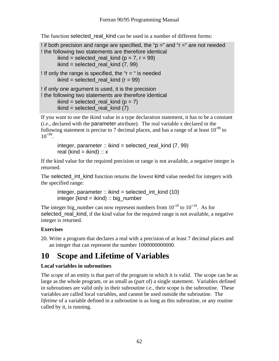The function selected real kind can be used in a number of different forms:

```
! if both precision and range are specified, the "p =" and "r =" are not needed
! the following two statements are therefore identical 
       ikind = selected real kind (p = 7, r = 99)
        ikind = selected_real_kind (7, 99) 
! If only the range is specified, the "r = " is needed
       ikind = selected real kind (r = 99)
! if only one argument is used, it is the precision 
! the following two statements are therefore identical 
       ikind = selected real kind (p = 7)
       ikind = selected real kind (7)
```
If you want to use the ikind value in a type declaration statement, it has to be a constant (*i.e*., declared with the parameter attribute). The real variable x declared in the following statement is precise to 7 decimal places, and has a range of at least  $10^{-99}$  to  $10^{+99}$ .

integer, parameter :: ikind = selected real kind  $(7, 99)$ real (kind = ikind) ::  $x$ 

If the kind value for the required precision or range is not available, a negative integer is returned.

The selected\_int\_kind function returns the lowest kind value needed for integers with the specified range:

integer, parameter :: ikind = selected int kind (10)  $integer (kind = ikind) :: big number$ 

The integer big\_number can now represent numbers from  $10^{-10}$  to  $10^{+10}$ . As for selected real kind, if the kind value for the required range is not available, a negative integer is returned.

#### **Exercises**

20. Write a program that declares a real with a precision of at least 7 decimal places and an integer that can represent the number 1000000000000.

## **10 Scope and Lifetime of Variables**

#### **Local variables in subroutines**

The *scope* of an entity is that part of the program in which it is valid. The scope can be as large as the whole program, or as small as (part of) a single statement. Variables defined in subroutines are valid only in their subroutine *i.e.*, their scope is the subroutine. These variables are called local variables, and cannot be used outside the subroutine. The *lifetime* of a variable defined in a subroutine is as long as this subroutine, or any routine called by it, is running.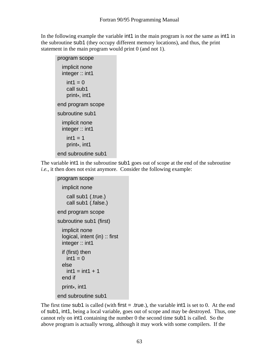In the following example the variable int1 in the main program is *not* the same as int1 in the subroutine sub1 (they occupy different memory locations), and thus, the print statement in the main program would print 0 (and not 1).

| program scope                                        |
|------------------------------------------------------|
| <i>implicit</i> none<br>integer :: int1              |
| $int1 = 0$<br>call sub1<br>print <sub>*</sub> , int1 |
| end program scope                                    |
| subroutine sub1                                      |
| implicit none<br>integer::int1                       |
| $int1 = 1$<br>print <sub>*</sub> , int1              |
| end subroutine sub1                                  |

The variable int1 in the subroutine sub1 goes out of scope at the end of the subroutine *i.e.*, it then does not exist anymore. Consider the following example:

```
program scope 
   implicit none 
     call sub1 (.true.) 
     call sub1 (.false.) 
 end program scope 
 subroutine sub1 (first) 
   implicit none 
   logical, intent (in) :: first 
   integer :: int1 
   if (first) then 
    int1 = 0 else 
    int1 = int1 + 1 end if 
   print*, int1 
 end subroutine sub1
```
The first time sub1 is called (with first  $=$  .true.), the variable int1 is set to 0. At the end of sub1, int1, being a local variable, goes out of scope and may be destroyed. Thus, one cannot rely on int1 containing the number 0 the second time sub1 is called. So the above program is actually wrong, although it may work with some compilers. If the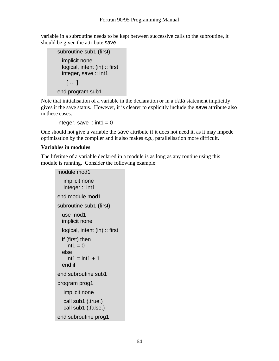variable in a subroutine needs to be kept between successive calls to the subroutine, it should be given the attribute save:

```
 subroutine sub1 (first) 
   implicit none 
  logical, intent (in) :: first
   integer, save :: int1 
    [ \ldots ] end program sub1
```
Note that initialisation of a variable in the declaration or in a data statement implicitly gives it the save status. However, it is clearer to explicitly include the save attribute also in these cases:

integer, save ::  $int1 = 0$ 

One should not give a variable the save attribute if it does not need it, as it may impede optimisation by the compiler and it also makes *e.g*., parallelisation more difficult.

#### **Variables in modules**

The lifetime of a variable declared in a module is as long as any routine using this module is running. Consider the following example:

```
module mod1 
   implicit none 
   integer :: int1 
 end module mod1 
 subroutine sub1 (first) 
   use mod1 
  implicit none 
  logical, intent (in) :: first 
  if (first) then 
    int1 = 0 else 
    int1 = int1 + 1 end if 
 end subroutine sub1 
 program prog1 
   implicit none 
   call sub1 (.true.) 
   call sub1 (.false.) 
 end subroutine prog1
```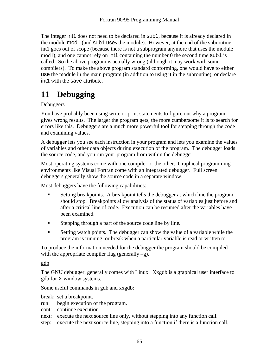The integer int1 does not need to be declared in sub1, because it is already declared in the module mod1 (and sub1 uses the module). However, at the end of the subroutine, int1 goes out of scope (because there is not a subprogram anymore that uses the module mod1), and one cannot rely on  $int1$  containing the number 0 the second time sub1 is called. So the above program is actually wrong (although it may work with some compilers). To make the above program standard conforming, one would have to either use the module in the main program (in addition to using it in the subroutine), or declare int1 with the save attribute.

## **11 Debugging**

#### **Debuggers**

You have probably been using write or print statements to figure out why a program gives wrong results. The larger the program gets, the more cumbersome it is to search for errors like this. Debuggers are a much more powerful tool for stepping through the code and examining values.

A debugger lets you see each instruction in your program and lets you examine the values of variables and other data objects during execution of the program. The debugger loads the source code, and you run your program from within the debugger.

Most operating systems come with one compiler or the other. Graphical programming environments like Visual Fortran come with an integrated debugger. Full screen debuggers generally show the source code in a separate window.

Most debuggers have the following capabilities:

- Setting breakpoints. A breakpoint tells the debugger at which line the program should stop. Breakpoints allow analysis of the status of variables just before and after a critical line of code. Execution can be resumed after the variables have been examined.
- Stepping through a part of the source code line by line.
- Setting watch points. The debugger can show the value of a variable while the program is running, or break when a particular variable is read or written to.

To produce the information needed for the debugger the program should be compiled with the appropriate compiler flag (generally  $-g$ ).

gdb

The GNU debugger, generally comes with Linux. Xxgdb is a graphical user interface to gdb for X window systems.

Some useful commands in gdb and xxgdb:

break: set a breakpoint.

run: begin execution of the program.

cont: continue execution

next: execute the next source line only, without stepping into any function call.

step: execute the next source line, stepping into a function if there is a function call.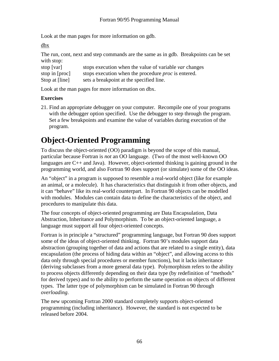Look at the man pages for more information on gdb.

dbx

The run, cont, next and step commands are the same as in gdb. Breakpoints can be set with stop:

| stop $[var]$   | stops execution when the value of variable <i>var</i> changes |
|----------------|---------------------------------------------------------------|
| stop in [proc] | stops execution when the procedure <i>proc</i> is entered.    |
| Stop at [line] | sets a breakpoint at the specified line.                      |

Look at the man pages for more information on dbx.

#### **Exercises**

21. Find an appropriate debugger on your computer. Recompile one of your programs with the debugger option specified. Use the debugger to step through the program. Set a few breakpoints and examine the value of variables during execution of the program.

## **Object-Oriented Programming**

To discuss the object-oriented (OO) paradigm is beyond the scope of this manual, particular because Fortran is *not* an OO language. (Two of the most well-known OO languages are  $C_{++}$  and Java). However, object-oriented thinking is gaining ground in the programming world, and also Fortran 90 does support (or simulate) some of the OO ideas.

An "object" in a program is supposed to resemble a real-world object (like for example an animal, or a molecule). It has characteristics that distinguish it from other objects, and it can "behave" like its real-world counterpart. In Fortran 90 objects can be modelled with modules. Modules can contain data to define the characteristics of the object, and procedures to manipulate this data.

The four concepts of object-oriented programming are Data Encapsulation, Data Abstraction, Inheritance and Polymorphism. To be an object-oriented language, a language must support all four object-oriented concepts.

Fortran is in principle a "structured" programming language, but Fortran 90 does support some of the ideas of object-oriented thinking. Fortran 90's modules support data abstraction (grouping together of data and actions that are related to a single entity), data encapsulation (the process of hiding data within an "object", and allowing access to this data only through special procedures or member functions), but it lacks inheritance (deriving subclasses from a more general data type). Polymorphism refers to the ability to process objects differently depending on their data type (by redefinition of "methods" for derived types) and to the ability to perform the same operation on objects of different types. The latter type of polymorphism can be simulated in Fortran 90 through *overloading*.

The new upcoming Fortran 2000 standard completely supports object-oriented programming (including inheritance). However, the standard is not expected to be released before 2004.